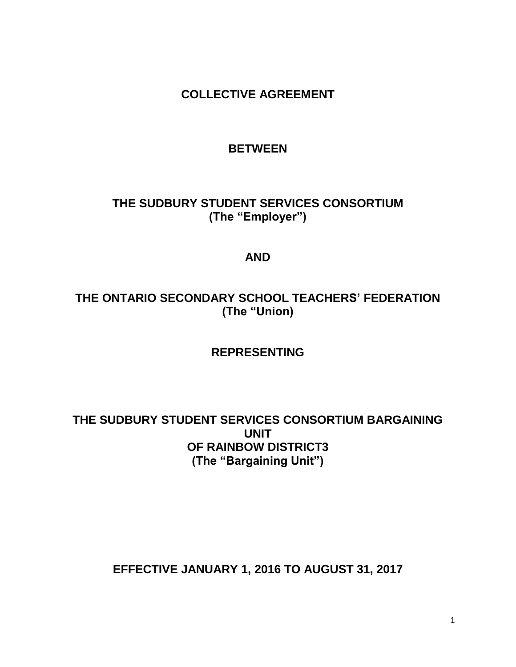**COLLECTIVE AGREEMENT**

# **BETWEEN**

**THE SUDBURY STUDENT SERVICES CONSORTIUM (The "Employer")**

# **AND**

# **THE ONTARIO SECONDARY SCHOOL TEACHERS' FEDERATION (The "Union)**

# **REPRESENTING**

# **THE SUDBURY STUDENT SERVICES CONSORTIUM BARGAINING UNIT OF RAINBOW DISTRICT3 (The "Bargaining Unit")**

# **EFFECTIVE JANUARY 1, 2016 TO AUGUST 31, 2017**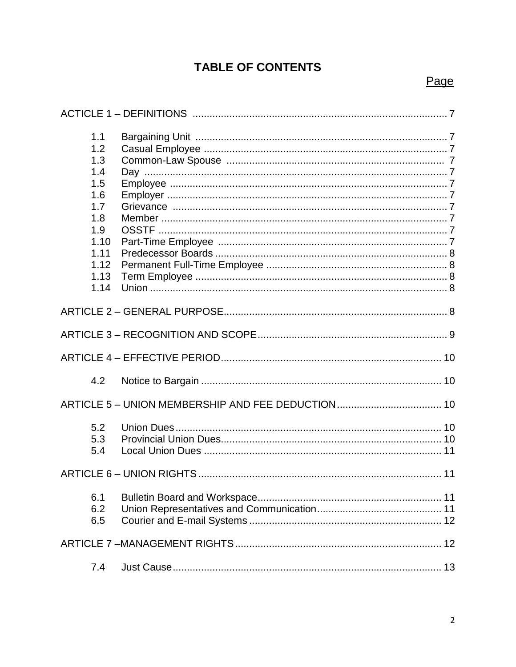# **TABLE OF CONTENTS**

# Page

| 1.1<br>1.2<br>1.3<br>1.4<br>1.5<br>1.6<br>1.7<br>1.8<br>1.9<br>1.10<br>1.11<br>1.12<br>1.13<br>1.14 |  |
|-----------------------------------------------------------------------------------------------------|--|
|                                                                                                     |  |
|                                                                                                     |  |
|                                                                                                     |  |
| 4.2                                                                                                 |  |
|                                                                                                     |  |
| 5.2<br>5.3<br>5.4                                                                                   |  |
|                                                                                                     |  |
| 6.1<br>6.2<br>6.5                                                                                   |  |
|                                                                                                     |  |
| 7.4                                                                                                 |  |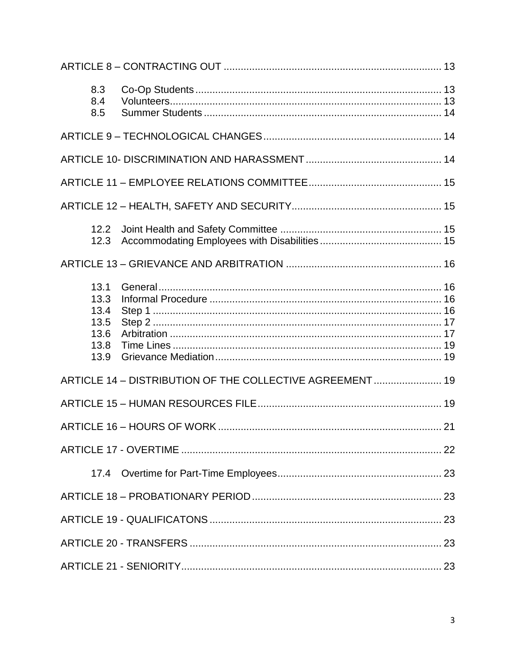| 8.3<br>8.4<br>8.5                                    |                                                           |  |
|------------------------------------------------------|-----------------------------------------------------------|--|
|                                                      |                                                           |  |
|                                                      |                                                           |  |
|                                                      |                                                           |  |
|                                                      |                                                           |  |
| 12.2<br>12.3                                         |                                                           |  |
|                                                      |                                                           |  |
| 13.1<br>13.3<br>13.4<br>13.5<br>13.6<br>13.8<br>13.9 |                                                           |  |
|                                                      | ARTICLE 14 - DISTRIBUTION OF THE COLLECTIVE AGREEMENT  19 |  |
|                                                      |                                                           |  |
|                                                      |                                                           |  |
|                                                      |                                                           |  |
| 17.4                                                 |                                                           |  |
|                                                      |                                                           |  |
|                                                      |                                                           |  |
|                                                      |                                                           |  |
|                                                      |                                                           |  |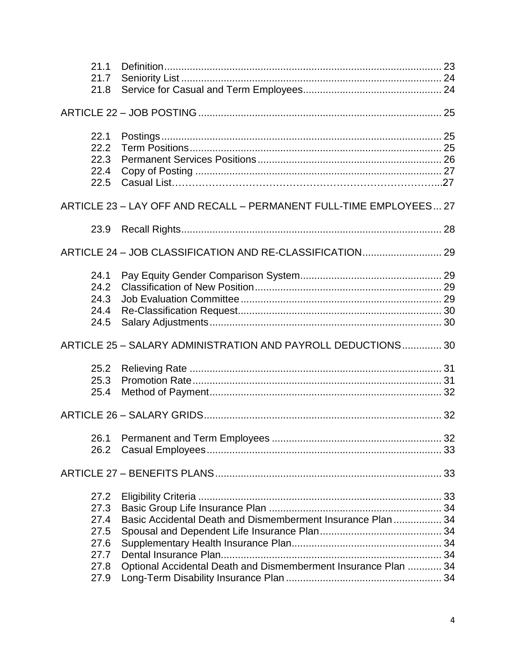| 21.1<br>21.7<br>21.8                         |                                                                    |  |
|----------------------------------------------|--------------------------------------------------------------------|--|
|                                              |                                                                    |  |
| 22.1<br>22.2<br>22.3<br>22.4<br>22.5         |                                                                    |  |
|                                              | ARTICLE 23 - LAY OFF AND RECALL - PERMANENT FULL-TIME EMPLOYEES 27 |  |
| 23.9                                         |                                                                    |  |
|                                              |                                                                    |  |
| 24.1<br>24.2<br>24.3<br>24.4<br>24.5         |                                                                    |  |
|                                              | ARTICLE 25 - SALARY ADMINISTRATION AND PAYROLL DEDUCTIONS 30       |  |
| 25.2<br>25.3<br>25.4                         |                                                                    |  |
|                                              |                                                                    |  |
| 26.2                                         |                                                                    |  |
|                                              |                                                                    |  |
| 27.2<br>27.3<br>27.4<br>27.5<br>27.6<br>27.7 | Basic Accidental Death and Dismemberment Insurance Plan  34        |  |
| 27.8<br>27.9                                 | Optional Accidental Death and Dismemberment Insurance Plan  34     |  |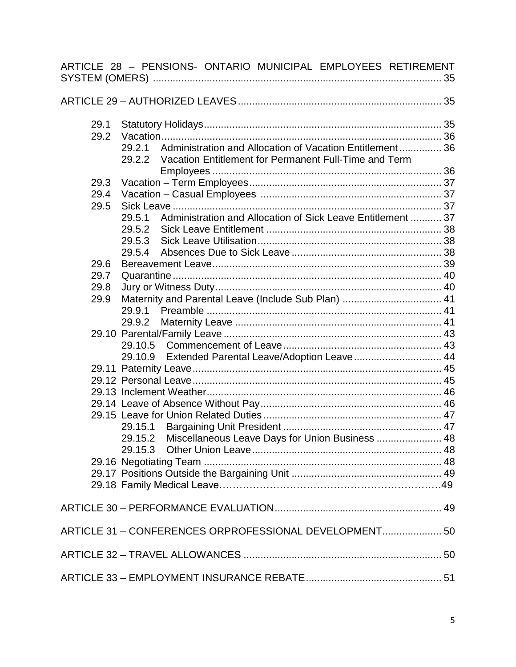|      | ARTICLE 28 - PENSIONS- ONTARIO MUNICIPAL EMPLOYEES RETIREMENT         |  |
|------|-----------------------------------------------------------------------|--|
|      |                                                                       |  |
| 29.1 |                                                                       |  |
| 29.2 |                                                                       |  |
|      | 29.2.1 Administration and Allocation of Vacation Entitlement 36       |  |
|      | 29.2.2 Vacation Entitlement for Permanent Full-Time and Term          |  |
|      |                                                                       |  |
| 29.3 |                                                                       |  |
| 29.4 |                                                                       |  |
| 29.5 |                                                                       |  |
|      | Administration and Allocation of Sick Leave Entitlement  37<br>29.5.1 |  |
|      |                                                                       |  |
|      |                                                                       |  |
|      |                                                                       |  |
| 29.6 |                                                                       |  |
| 29.7 |                                                                       |  |
| 29.8 |                                                                       |  |
| 29.9 | Maternity and Parental Leave (Include Sub Plan)  41                   |  |
|      |                                                                       |  |
|      |                                                                       |  |
|      |                                                                       |  |
|      |                                                                       |  |
|      | 29.10.9 Extended Parental Leave/Adoption Leave 44                     |  |
|      |                                                                       |  |
|      |                                                                       |  |
|      |                                                                       |  |
|      |                                                                       |  |
|      |                                                                       |  |
|      |                                                                       |  |
|      | 29.15.2 Miscellaneous Leave Days for Union Business  48               |  |
|      |                                                                       |  |
|      |                                                                       |  |
|      |                                                                       |  |
|      |                                                                       |  |
|      |                                                                       |  |
|      | ARTICLE 31 - CONFERENCES ORPROFESSIONAL DEVELOPMENT 50                |  |
|      |                                                                       |  |
|      |                                                                       |  |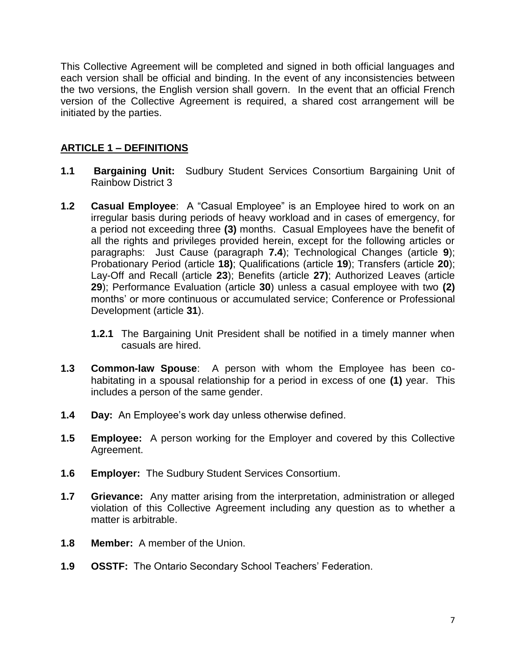This Collective Agreement will be completed and signed in both official languages and each version shall be official and binding. In the event of any inconsistencies between the two versions, the English version shall govern. In the event that an official French version of the Collective Agreement is required, a shared cost arrangement will be initiated by the parties.

# **ARTICLE 1 – DEFINITIONS**

- **1.1 Bargaining Unit:** Sudbury Student Services Consortium Bargaining Unit of Rainbow District 3
- **1.2 Casual Employee**: A "Casual Employee" is an Employee hired to work on an irregular basis during periods of heavy workload and in cases of emergency, for a period not exceeding three **(3)** months. Casual Employees have the benefit of all the rights and privileges provided herein, except for the following articles or paragraphs: Just Cause (paragraph **7.4**); Technological Changes (article **9**); Probationary Period (article **18)**; Qualifications (article **19**); Transfers (article **20**); Lay-Off and Recall (article **23**); Benefits (article **27)**; Authorized Leaves (article **29**); Performance Evaluation (article **30**) unless a casual employee with two **(2)** months' or more continuous or accumulated service; Conference or Professional Development (article **31**).
	- **1.2.1** The Bargaining Unit President shall be notified in a timely manner when casuals are hired.
- **1.3 Common-law Spouse**: A person with whom the Employee has been cohabitating in a spousal relationship for a period in excess of one **(1)** year. This includes a person of the same gender.
- **1.4 Day:** An Employee's work day unless otherwise defined.
- **1.5 Employee:** A person working for the Employer and covered by this Collective Agreement.
- **1.6 Employer:** The Sudbury Student Services Consortium.
- **1.7 Grievance:** Any matter arising from the interpretation, administration or alleged violation of this Collective Agreement including any question as to whether a matter is arbitrable.
- **1.8 Member:** A member of the Union.
- **1.9 OSSTF:** The Ontario Secondary School Teachers' Federation.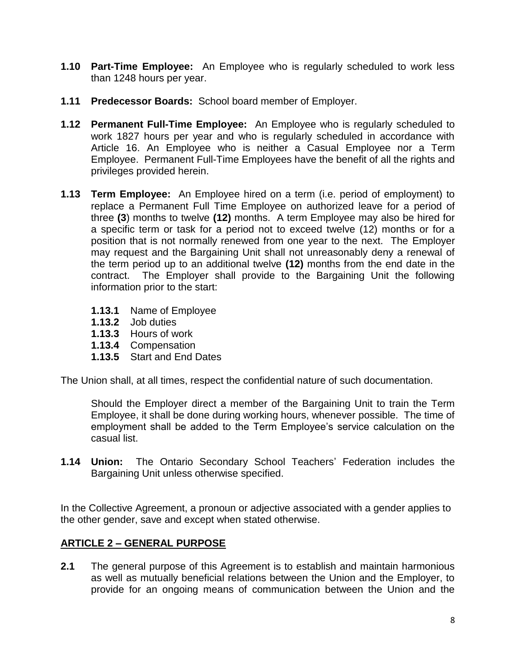- **1.10 Part-Time Employee:** An Employee who is regularly scheduled to work less than 1248 hours per year.
- **1.11 Predecessor Boards:** School board member of Employer.
- **1.12 Permanent Full-Time Employee:** An Employee who is regularly scheduled to work 1827 hours per year and who is regularly scheduled in accordance with Article 16. An Employee who is neither a Casual Employee nor a Term Employee. Permanent Full-Time Employees have the benefit of all the rights and privileges provided herein.
- **1.13 Term Employee:** An Employee hired on a term (i.e. period of employment) to replace a Permanent Full Time Employee on authorized leave for a period of three **(3**) months to twelve **(12)** months. A term Employee may also be hired for a specific term or task for a period not to exceed twelve (12) months or for a position that is not normally renewed from one year to the next. The Employer may request and the Bargaining Unit shall not unreasonably deny a renewal of the term period up to an additional twelve **(12)** months from the end date in the contract. The Employer shall provide to the Bargaining Unit the following information prior to the start:
	- **1.13.1** Name of Employee
	- **1.13.2** Job duties
	- **1.13.3** Hours of work
	- **1.13.4** Compensation
	- **1.13.5** Start and End Dates

The Union shall, at all times, respect the confidential nature of such documentation.

Should the Employer direct a member of the Bargaining Unit to train the Term Employee, it shall be done during working hours, whenever possible. The time of employment shall be added to the Term Employee's service calculation on the casual list.

**1.14 Union:** The Ontario Secondary School Teachers' Federation includes the Bargaining Unit unless otherwise specified.

In the Collective Agreement, a pronoun or adjective associated with a gender applies to the other gender, save and except when stated otherwise.

# **ARTICLE 2 – GENERAL PURPOSE**

**2.1** The general purpose of this Agreement is to establish and maintain harmonious as well as mutually beneficial relations between the Union and the Employer, to provide for an ongoing means of communication between the Union and the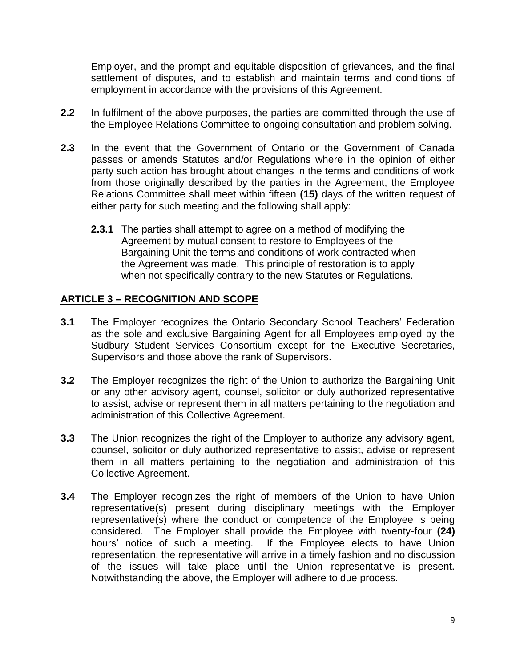Employer, and the prompt and equitable disposition of grievances, and the final settlement of disputes, and to establish and maintain terms and conditions of employment in accordance with the provisions of this Agreement.

- **2.2** In fulfilment of the above purposes, the parties are committed through the use of the Employee Relations Committee to ongoing consultation and problem solving.
- **2.3** In the event that the Government of Ontario or the Government of Canada passes or amends Statutes and/or Regulations where in the opinion of either party such action has brought about changes in the terms and conditions of work from those originally described by the parties in the Agreement, the Employee Relations Committee shall meet within fifteen **(15)** days of the written request of either party for such meeting and the following shall apply:
	- **2.3.1** The parties shall attempt to agree on a method of modifying the Agreement by mutual consent to restore to Employees of the Bargaining Unit the terms and conditions of work contracted when the Agreement was made. This principle of restoration is to apply when not specifically contrary to the new Statutes or Regulations.

# **ARTICLE 3 – RECOGNITION AND SCOPE**

- **3.1** The Employer recognizes the Ontario Secondary School Teachers' Federation as the sole and exclusive Bargaining Agent for all Employees employed by the Sudbury Student Services Consortium except for the Executive Secretaries, Supervisors and those above the rank of Supervisors.
- **3.2** The Employer recognizes the right of the Union to authorize the Bargaining Unit or any other advisory agent, counsel, solicitor or duly authorized representative to assist, advise or represent them in all matters pertaining to the negotiation and administration of this Collective Agreement.
- **3.3** The Union recognizes the right of the Employer to authorize any advisory agent, counsel, solicitor or duly authorized representative to assist, advise or represent them in all matters pertaining to the negotiation and administration of this Collective Agreement.
- **3.4** The Employer recognizes the right of members of the Union to have Union representative(s) present during disciplinary meetings with the Employer representative(s) where the conduct or competence of the Employee is being considered. The Employer shall provide the Employee with twenty-four **(24)** hours' notice of such a meeting. If the Employee elects to have Union representation, the representative will arrive in a timely fashion and no discussion of the issues will take place until the Union representative is present. Notwithstanding the above, the Employer will adhere to due process.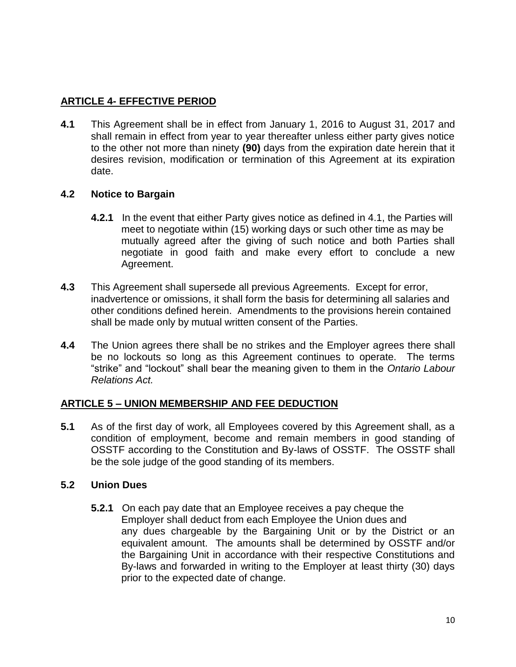# **ARTICLE 4- EFFECTIVE PERIOD**

**4.1** This Agreement shall be in effect from January 1, 2016 to August 31, 2017 and shall remain in effect from year to year thereafter unless either party gives notice to the other not more than ninety **(90)** days from the expiration date herein that it desires revision, modification or termination of this Agreement at its expiration date.

# **4.2 Notice to Bargain**

- **4.2.1** In the event that either Party gives notice as defined in 4.1, the Parties will meet to negotiate within (15) working days or such other time as may be mutually agreed after the giving of such notice and both Parties shall negotiate in good faith and make every effort to conclude a new Agreement.
- **4.3** This Agreement shall supersede all previous Agreements. Except for error, inadvertence or omissions, it shall form the basis for determining all salaries and other conditions defined herein. Amendments to the provisions herein contained shall be made only by mutual written consent of the Parties.
- **4.4** The Union agrees there shall be no strikes and the Employer agrees there shall be no lockouts so long as this Agreement continues to operate. The terms "strike" and "lockout" shall bear the meaning given to them in the *Ontario Labour Relations Act.*

## **ARTICLE 5 – UNION MEMBERSHIP AND FEE DEDUCTION**

**5.1** As of the first day of work, all Employees covered by this Agreement shall, as a condition of employment, become and remain members in good standing of OSSTF according to the Constitution and By-laws of OSSTF. The OSSTF shall be the sole judge of the good standing of its members.

## **5.2 Union Dues**

**5.2.1** On each pay date that an Employee receives a pay cheque the Employer shall deduct from each Employee the Union dues and any dues chargeable by the Bargaining Unit or by the District or an equivalent amount. The amounts shall be determined by OSSTF and/or the Bargaining Unit in accordance with their respective Constitutions and By-laws and forwarded in writing to the Employer at least thirty (30) days prior to the expected date of change.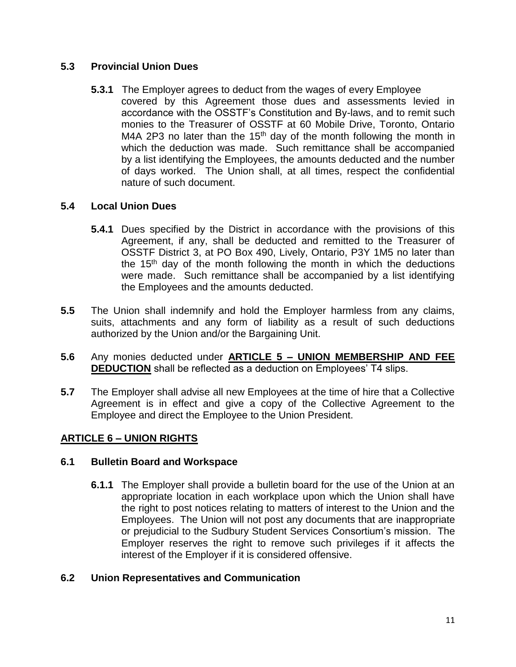# **5.3 Provincial Union Dues**

**5.3.1** The Employer agrees to deduct from the wages of every Employee covered by this Agreement those dues and assessments levied in accordance with the OSSTF's Constitution and By-laws, and to remit such monies to the Treasurer of OSSTF at 60 Mobile Drive, Toronto, Ontario M4A 2P3 no later than the 15<sup>th</sup> day of the month following the month in which the deduction was made. Such remittance shall be accompanied by a list identifying the Employees, the amounts deducted and the number of days worked. The Union shall, at all times, respect the confidential nature of such document.

# **5.4 Local Union Dues**

- **5.4.1** Dues specified by the District in accordance with the provisions of this Agreement, if any, shall be deducted and remitted to the Treasurer of OSSTF District 3, at PO Box 490, Lively, Ontario, P3Y 1M5 no later than the  $15<sup>th</sup>$  day of the month following the month in which the deductions were made. Such remittance shall be accompanied by a list identifying the Employees and the amounts deducted.
- **5.5** The Union shall indemnify and hold the Employer harmless from any claims, suits, attachments and any form of liability as a result of such deductions authorized by the Union and/or the Bargaining Unit.
- **5.6** Any monies deducted under **ARTICLE 5 – UNION MEMBERSHIP AND FEE DEDUCTION** shall be reflected as a deduction on Employees' T4 slips.
- **5.7** The Employer shall advise all new Employees at the time of hire that a Collective Agreement is in effect and give a copy of the Collective Agreement to the Employee and direct the Employee to the Union President.

# **ARTICLE 6 – UNION RIGHTS**

## **6.1 Bulletin Board and Workspace**

**6.1.1** The Employer shall provide a bulletin board for the use of the Union at an appropriate location in each workplace upon which the Union shall have the right to post notices relating to matters of interest to the Union and the Employees. The Union will not post any documents that are inappropriate or prejudicial to the Sudbury Student Services Consortium's mission. The Employer reserves the right to remove such privileges if it affects the interest of the Employer if it is considered offensive.

## **6.2 Union Representatives and Communication**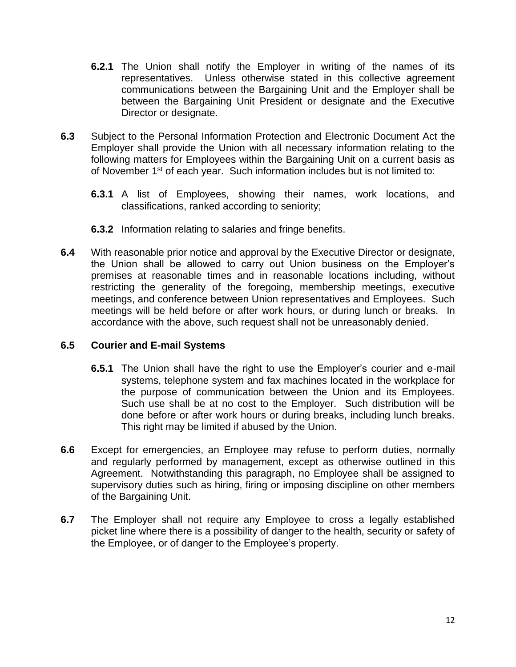- **6.2.1** The Union shall notify the Employer in writing of the names of its representatives. Unless otherwise stated in this collective agreement communications between the Bargaining Unit and the Employer shall be between the Bargaining Unit President or designate and the Executive Director or designate.
- **6.3** Subject to the Personal Information Protection and Electronic Document Act the Employer shall provide the Union with all necessary information relating to the following matters for Employees within the Bargaining Unit on a current basis as of November 1<sup>st</sup> of each year. Such information includes but is not limited to:
	- **6.3.1** A list of Employees, showing their names, work locations, and classifications, ranked according to seniority;
	- **6.3.2** Information relating to salaries and fringe benefits.
- **6.4** With reasonable prior notice and approval by the Executive Director or designate, the Union shall be allowed to carry out Union business on the Employer's premises at reasonable times and in reasonable locations including, without restricting the generality of the foregoing, membership meetings, executive meetings, and conference between Union representatives and Employees. Such meetings will be held before or after work hours, or during lunch or breaks. In accordance with the above, such request shall not be unreasonably denied.

# **6.5 Courier and E-mail Systems**

- **6.5.1** The Union shall have the right to use the Employer's courier and e-mail systems, telephone system and fax machines located in the workplace for the purpose of communication between the Union and its Employees. Such use shall be at no cost to the Employer. Such distribution will be done before or after work hours or during breaks, including lunch breaks. This right may be limited if abused by the Union.
- **6.6** Except for emergencies, an Employee may refuse to perform duties, normally and regularly performed by management, except as otherwise outlined in this Agreement. Notwithstanding this paragraph, no Employee shall be assigned to supervisory duties such as hiring, firing or imposing discipline on other members of the Bargaining Unit.
- **6.7** The Employer shall not require any Employee to cross a legally established picket line where there is a possibility of danger to the health, security or safety of the Employee, or of danger to the Employee's property.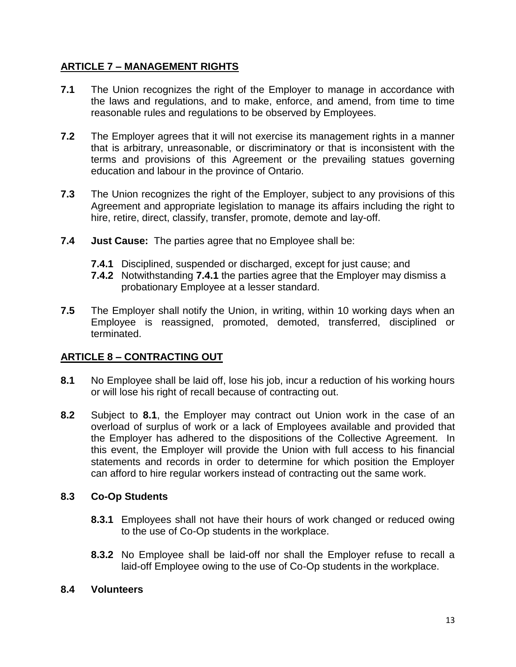# **ARTICLE 7 – MANAGEMENT RIGHTS**

- **7.1** The Union recognizes the right of the Employer to manage in accordance with the laws and regulations, and to make, enforce, and amend, from time to time reasonable rules and regulations to be observed by Employees.
- **7.2** The Employer agrees that it will not exercise its management rights in a manner that is arbitrary, unreasonable, or discriminatory or that is inconsistent with the terms and provisions of this Agreement or the prevailing statues governing education and labour in the province of Ontario.
- **7.3** The Union recognizes the right of the Employer, subject to any provisions of this Agreement and appropriate legislation to manage its affairs including the right to hire, retire, direct, classify, transfer, promote, demote and lay-off.
- **7.4 Just Cause:** The parties agree that no Employee shall be:
	- **7.4.1** Disciplined, suspended or discharged, except for just cause; and
	- **7.4.2** Notwithstanding **7.4.1** the parties agree that the Employer may dismiss a probationary Employee at a lesser standard.
- **7.5** The Employer shall notify the Union, in writing, within 10 working days when an Employee is reassigned, promoted, demoted, transferred, disciplined or terminated.

# **ARTICLE 8 – CONTRACTING OUT**

- **8.1** No Employee shall be laid off, lose his job, incur a reduction of his working hours or will lose his right of recall because of contracting out.
- **8.2** Subject to **8.1**, the Employer may contract out Union work in the case of an overload of surplus of work or a lack of Employees available and provided that the Employer has adhered to the dispositions of the Collective Agreement. In this event, the Employer will provide the Union with full access to his financial statements and records in order to determine for which position the Employer can afford to hire regular workers instead of contracting out the same work.

# **8.3 Co-Op Students**

- **8.3.1** Employees shall not have their hours of work changed or reduced owing to the use of Co-Op students in the workplace.
- **8.3.2** No Employee shall be laid-off nor shall the Employer refuse to recall a laid-off Employee owing to the use of Co-Op students in the workplace.

## **8.4 Volunteers**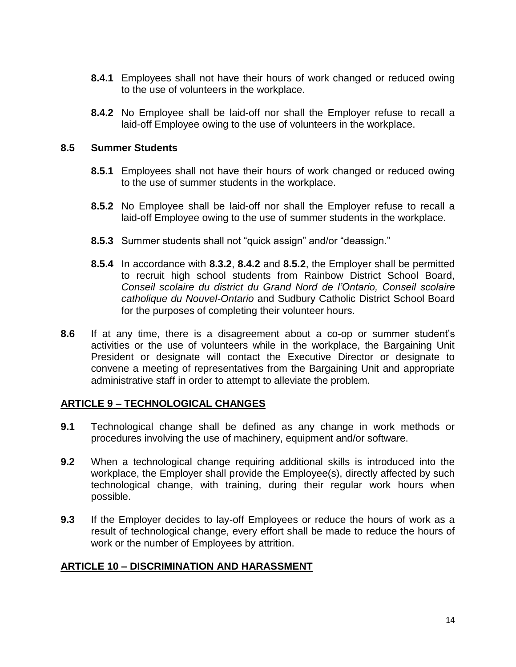- **8.4.1** Employees shall not have their hours of work changed or reduced owing to the use of volunteers in the workplace.
- **8.4.2** No Employee shall be laid-off nor shall the Employer refuse to recall a laid-off Employee owing to the use of volunteers in the workplace.

### **8.5 Summer Students**

- **8.5.1** Employees shall not have their hours of work changed or reduced owing to the use of summer students in the workplace.
- **8.5.2** No Employee shall be laid-off nor shall the Employer refuse to recall a laid-off Employee owing to the use of summer students in the workplace.
- **8.5.3** Summer students shall not "quick assign" and/or "deassign."
- **8.5.4** In accordance with **8.3.2**, **8.4.2** and **8.5.2**, the Employer shall be permitted to recruit high school students from Rainbow District School Board, *Conseil scolaire du district du Grand Nord de l'Ontario, Conseil scolaire catholique du Nouvel-Ontario* and Sudbury Catholic District School Board for the purposes of completing their volunteer hours.
- **8.6** If at any time, there is a disagreement about a co-op or summer student's activities or the use of volunteers while in the workplace, the Bargaining Unit President or designate will contact the Executive Director or designate to convene a meeting of representatives from the Bargaining Unit and appropriate administrative staff in order to attempt to alleviate the problem.

## **ARTICLE 9 – TECHNOLOGICAL CHANGES**

- **9.1** Technological change shall be defined as any change in work methods or procedures involving the use of machinery, equipment and/or software.
- **9.2** When a technological change requiring additional skills is introduced into the workplace, the Employer shall provide the Employee(s), directly affected by such technological change, with training, during their regular work hours when possible.
- **9.3** If the Employer decides to lay-off Employees or reduce the hours of work as a result of technological change, every effort shall be made to reduce the hours of work or the number of Employees by attrition.

## **ARTICLE 10 – DISCRIMINATION AND HARASSMENT**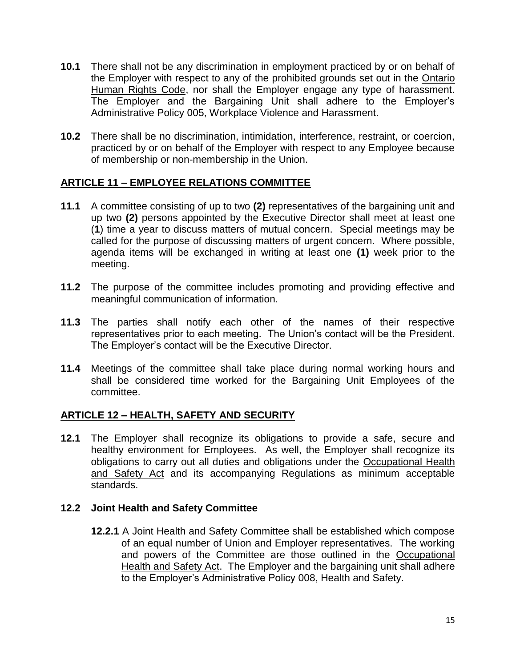- **10.1** There shall not be any discrimination in employment practiced by or on behalf of the Employer with respect to any of the prohibited grounds set out in the Ontario Human Rights Code, nor shall the Employer engage any type of harassment. The Employer and the Bargaining Unit shall adhere to the Employer's Administrative Policy 005, Workplace Violence and Harassment.
- **10.2** There shall be no discrimination, intimidation, interference, restraint, or coercion, practiced by or on behalf of the Employer with respect to any Employee because of membership or non-membership in the Union.

# **ARTICLE 11 – EMPLOYEE RELATIONS COMMITTEE**

- **11.1** A committee consisting of up to two **(2)** representatives of the bargaining unit and up two **(2)** persons appointed by the Executive Director shall meet at least one (**1**) time a year to discuss matters of mutual concern. Special meetings may be called for the purpose of discussing matters of urgent concern. Where possible, agenda items will be exchanged in writing at least one **(1)** week prior to the meeting.
- **11.2** The purpose of the committee includes promoting and providing effective and meaningful communication of information.
- **11.3** The parties shall notify each other of the names of their respective representatives prior to each meeting. The Union's contact will be the President. The Employer's contact will be the Executive Director.
- **11.4** Meetings of the committee shall take place during normal working hours and shall be considered time worked for the Bargaining Unit Employees of the committee.

## **ARTICLE 12 – HEALTH, SAFETY AND SECURITY**

**12.1** The Employer shall recognize its obligations to provide a safe, secure and healthy environment for Employees. As well, the Employer shall recognize its obligations to carry out all duties and obligations under the Occupational Health and Safety Act and its accompanying Regulations as minimum acceptable standards.

## **12.2 Joint Health and Safety Committee**

**12.2.1** A Joint Health and Safety Committee shall be established which compose of an equal number of Union and Employer representatives. The working and powers of the Committee are those outlined in the Occupational Health and Safety Act. The Employer and the bargaining unit shall adhere to the Employer's Administrative Policy 008, Health and Safety.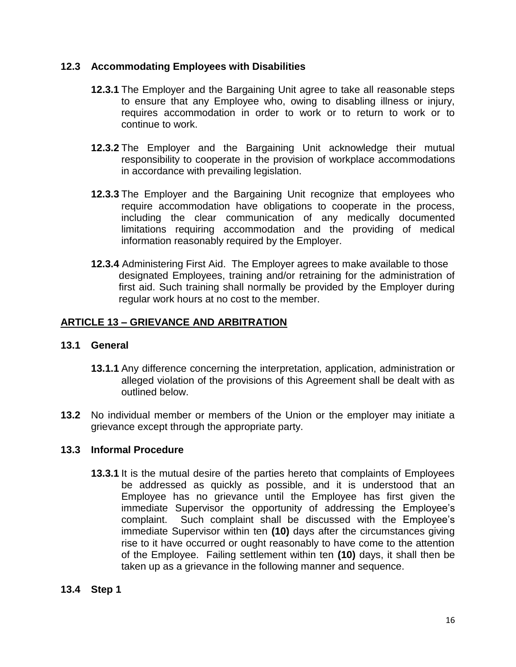## **12.3 Accommodating Employees with Disabilities**

- **12.3.1** The Employer and the Bargaining Unit agree to take all reasonable steps to ensure that any Employee who, owing to disabling illness or injury, requires accommodation in order to work or to return to work or to continue to work.
- **12.3.2** The Employer and the Bargaining Unit acknowledge their mutual responsibility to cooperate in the provision of workplace accommodations in accordance with prevailing legislation.
- **12.3.3** The Employer and the Bargaining Unit recognize that employees who require accommodation have obligations to cooperate in the process, including the clear communication of any medically documented limitations requiring accommodation and the providing of medical information reasonably required by the Employer.
- **12.3.4** Administering First Aid. The Employer agrees to make available to those designated Employees, training and/or retraining for the administration of first aid. Such training shall normally be provided by the Employer during regular work hours at no cost to the member.

# **ARTICLE 13 – GRIEVANCE AND ARBITRATION**

## **13.1 General**

- **13.1.1** Any difference concerning the interpretation, application, administration or alleged violation of the provisions of this Agreement shall be dealt with as outlined below.
- **13.2** No individual member or members of the Union or the employer may initiate a grievance except through the appropriate party.

## **13.3 Informal Procedure**

**13.3.1** It is the mutual desire of the parties hereto that complaints of Employees be addressed as quickly as possible, and it is understood that an Employee has no grievance until the Employee has first given the immediate Supervisor the opportunity of addressing the Employee's complaint. Such complaint shall be discussed with the Employee's immediate Supervisor within ten **(10)** days after the circumstances giving rise to it have occurred or ought reasonably to have come to the attention of the Employee. Failing settlement within ten **(10)** days, it shall then be taken up as a grievance in the following manner and sequence.

## **13.4 Step 1**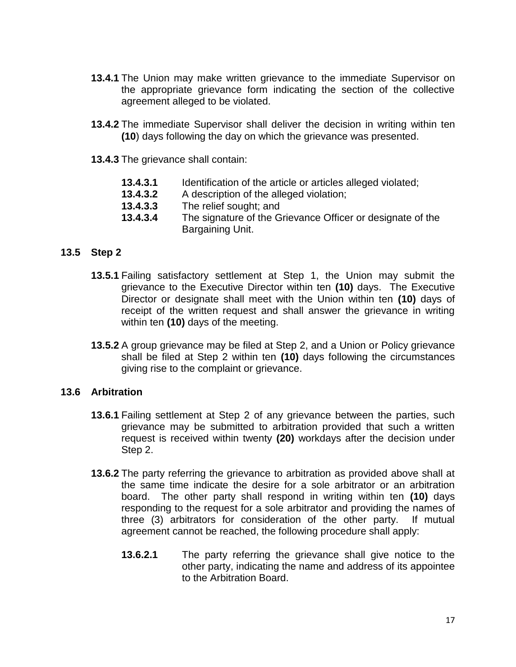- **13.4.1** The Union may make written grievance to the immediate Supervisor on the appropriate grievance form indicating the section of the collective agreement alleged to be violated.
- **13.4.2** The immediate Supervisor shall deliver the decision in writing within ten **(10**) days following the day on which the grievance was presented.
- **13.4.3** The grievance shall contain:
	- **13.4.3.1** Identification of the article or articles alleged violated;
	- **13.4.3.2** A description of the alleged violation;
	- **13.4.3.3** The relief sought; and
	- **13.4.3.4** The signature of the Grievance Officer or designate of the Bargaining Unit.

#### **13.5 Step 2**

- **13.5.1** Failing satisfactory settlement at Step 1, the Union may submit the grievance to the Executive Director within ten **(10)** days. The Executive Director or designate shall meet with the Union within ten **(10)** days of receipt of the written request and shall answer the grievance in writing within ten **(10)** days of the meeting.
- **13.5.2** A group grievance may be filed at Step 2, and a Union or Policy grievance shall be filed at Step 2 within ten **(10)** days following the circumstances giving rise to the complaint or grievance.

#### **13.6 Arbitration**

- **13.6.1** Failing settlement at Step 2 of any grievance between the parties, such grievance may be submitted to arbitration provided that such a written request is received within twenty **(20)** workdays after the decision under Step 2.
- **13.6.2** The party referring the grievance to arbitration as provided above shall at the same time indicate the desire for a sole arbitrator or an arbitration board. The other party shall respond in writing within ten **(10)** days responding to the request for a sole arbitrator and providing the names of three (3) arbitrators for consideration of the other party. If mutual agreement cannot be reached, the following procedure shall apply:
	- **13.6.2.1** The party referring the grievance shall give notice to the other party, indicating the name and address of its appointee to the Arbitration Board.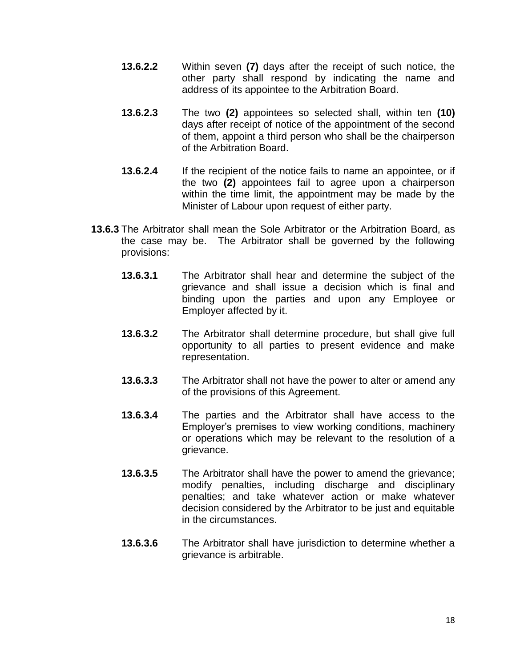- **13.6.2.2** Within seven **(7)** days after the receipt of such notice, the other party shall respond by indicating the name and address of its appointee to the Arbitration Board.
- **13.6.2.3** The two **(2)** appointees so selected shall, within ten **(10)** days after receipt of notice of the appointment of the second of them, appoint a third person who shall be the chairperson of the Arbitration Board.
- **13.6.2.4** If the recipient of the notice fails to name an appointee, or if the two **(2)** appointees fail to agree upon a chairperson within the time limit, the appointment may be made by the Minister of Labour upon request of either party.
- **13.6.3** The Arbitrator shall mean the Sole Arbitrator or the Arbitration Board, as the case may be. The Arbitrator shall be governed by the following provisions:
	- **13.6.3.1** The Arbitrator shall hear and determine the subject of the grievance and shall issue a decision which is final and binding upon the parties and upon any Employee or Employer affected by it.
	- **13.6.3.2** The Arbitrator shall determine procedure, but shall give full opportunity to all parties to present evidence and make representation.
	- **13.6.3.3** The Arbitrator shall not have the power to alter or amend any of the provisions of this Agreement.
	- **13.6.3.4** The parties and the Arbitrator shall have access to the Employer's premises to view working conditions, machinery or operations which may be relevant to the resolution of a grievance.
	- **13.6.3.5** The Arbitrator shall have the power to amend the grievance; modify penalties, including discharge and disciplinary penalties; and take whatever action or make whatever decision considered by the Arbitrator to be just and equitable in the circumstances.
	- **13.6.3.6** The Arbitrator shall have jurisdiction to determine whether a grievance is arbitrable.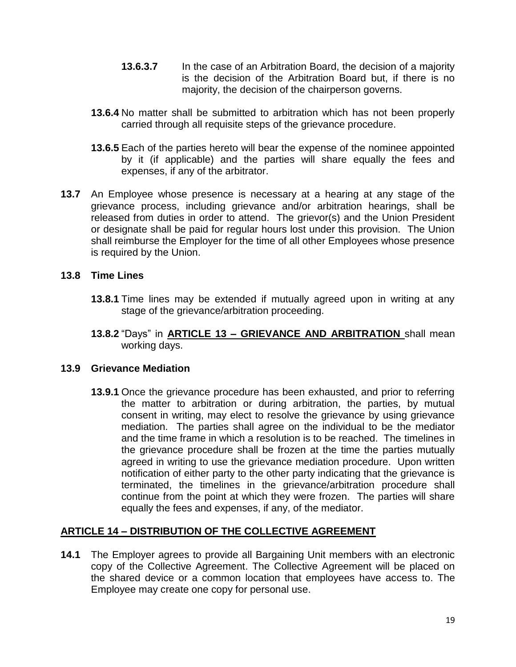- **13.6.3.7** In the case of an Arbitration Board, the decision of a majority is the decision of the Arbitration Board but, if there is no majority, the decision of the chairperson governs.
- **13.6.4** No matter shall be submitted to arbitration which has not been properly carried through all requisite steps of the grievance procedure.
- **13.6.5** Each of the parties hereto will bear the expense of the nominee appointed by it (if applicable) and the parties will share equally the fees and expenses, if any of the arbitrator.
- **13.7** An Employee whose presence is necessary at a hearing at any stage of the grievance process, including grievance and/or arbitration hearings, shall be released from duties in order to attend. The grievor(s) and the Union President or designate shall be paid for regular hours lost under this provision. The Union shall reimburse the Employer for the time of all other Employees whose presence is required by the Union.

# **13.8 Time Lines**

- **13.8.1** Time lines may be extended if mutually agreed upon in writing at any stage of the grievance/arbitration proceeding.
- **13.8.2** "Days" in **ARTICLE 13 – GRIEVANCE AND ARBITRATION** shall mean working days.

## **13.9 Grievance Mediation**

**13.9.1** Once the grievance procedure has been exhausted, and prior to referring the matter to arbitration or during arbitration, the parties, by mutual consent in writing, may elect to resolve the grievance by using grievance mediation. The parties shall agree on the individual to be the mediator and the time frame in which a resolution is to be reached. The timelines in the grievance procedure shall be frozen at the time the parties mutually agreed in writing to use the grievance mediation procedure. Upon written notification of either party to the other party indicating that the grievance is terminated, the timelines in the grievance/arbitration procedure shall continue from the point at which they were frozen. The parties will share equally the fees and expenses, if any, of the mediator.

# **ARTICLE 14 – DISTRIBUTION OF THE COLLECTIVE AGREEMENT**

**14.1** The Employer agrees to provide all Bargaining Unit members with an electronic copy of the Collective Agreement. The Collective Agreement will be placed on the shared device or a common location that employees have access to. The Employee may create one copy for personal use.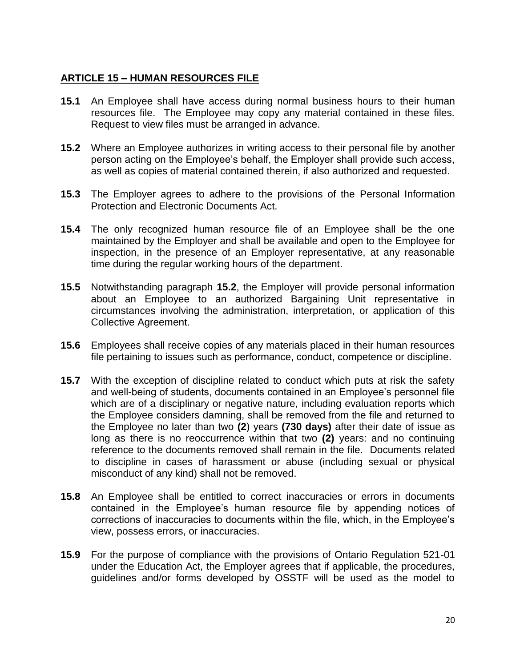# **ARTICLE 15 – HUMAN RESOURCES FILE**

- **15.1** An Employee shall have access during normal business hours to their human resources file. The Employee may copy any material contained in these files. Request to view files must be arranged in advance.
- **15.2** Where an Employee authorizes in writing access to their personal file by another person acting on the Employee's behalf, the Employer shall provide such access, as well as copies of material contained therein, if also authorized and requested.
- **15.3** The Employer agrees to adhere to the provisions of the Personal Information Protection and Electronic Documents Act.
- **15.4** The only recognized human resource file of an Employee shall be the one maintained by the Employer and shall be available and open to the Employee for inspection, in the presence of an Employer representative, at any reasonable time during the regular working hours of the department.
- **15.5** Notwithstanding paragraph **15.2**, the Employer will provide personal information about an Employee to an authorized Bargaining Unit representative in circumstances involving the administration, interpretation, or application of this Collective Agreement.
- **15.6** Employees shall receive copies of any materials placed in their human resources file pertaining to issues such as performance, conduct, competence or discipline.
- **15.7** With the exception of discipline related to conduct which puts at risk the safety and well-being of students, documents contained in an Employee's personnel file which are of a disciplinary or negative nature, including evaluation reports which the Employee considers damning, shall be removed from the file and returned to the Employee no later than two **(2**) years **(730 days)** after their date of issue as long as there is no reoccurrence within that two **(2)** years: and no continuing reference to the documents removed shall remain in the file. Documents related to discipline in cases of harassment or abuse (including sexual or physical misconduct of any kind) shall not be removed.
- **15.8** An Employee shall be entitled to correct inaccuracies or errors in documents contained in the Employee's human resource file by appending notices of corrections of inaccuracies to documents within the file, which, in the Employee's view, possess errors, or inaccuracies.
- **15.9** For the purpose of compliance with the provisions of Ontario Regulation 521-01 under the Education Act, the Employer agrees that if applicable, the procedures, guidelines and/or forms developed by OSSTF will be used as the model to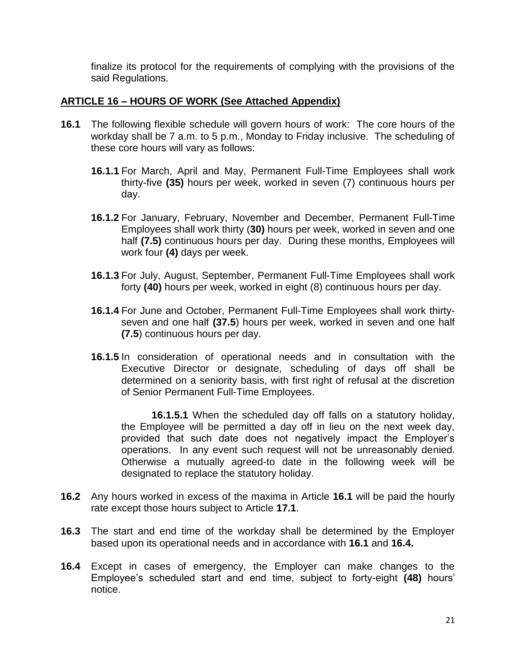finalize its protocol for the requirements of complying with the provisions of the said Regulations.

## **ARTICLE 16 – HOURS OF WORK (See Attached Appendix)**

- **16.1** The following flexible schedule will govern hours of work: The core hours of the workday shall be 7 a.m. to 5 p.m., Monday to Friday inclusive. The scheduling of these core hours will vary as follows:
	- **16.1.1** For March, April and May, Permanent Full-Time Employees shall work thirty-five **(35)** hours per week, worked in seven (7) continuous hours per day.
	- **16.1.2** For January, February, November and December, Permanent Full-Time Employees shall work thirty (**30)** hours per week, worked in seven and one half **(7.5)** continuous hours per day. During these months, Employees will work four **(4)** days per week.
	- **16.1.3** For July, August, September, Permanent Full-Time Employees shall work forty **(40)** hours per week, worked in eight (8) continuous hours per day.
	- **16.1.4** For June and October, Permanent Full-Time Employees shall work thirtyseven and one half **(37.5**) hours per week, worked in seven and one half **(7.5**) continuous hours per day.
	- **16.1.5** In consideration of operational needs and in consultation with the Executive Director or designate, scheduling of days off shall be determined on a seniority basis, with first right of refusal at the discretion of Senior Permanent Full-Time Employees.

**16.1.5.1** When the scheduled day off falls on a statutory holiday, the Employee will be permitted a day off in lieu on the next week day, provided that such date does not negatively impact the Employer's operations. In any event such request will not be unreasonably denied. Otherwise a mutually agreed-to date in the following week will be designated to replace the statutory holiday.

- **16.2** Any hours worked in excess of the maxima in Article **16.1** will be paid the hourly rate except those hours subject to Article **17.1**.
- **16.3** The start and end time of the workday shall be determined by the Employer based upon its operational needs and in accordance with **16.1** and **16.4.**
- **16.4** Except in cases of emergency, the Employer can make changes to the Employee's scheduled start and end time, subject to forty-eight **(48)** hours' notice.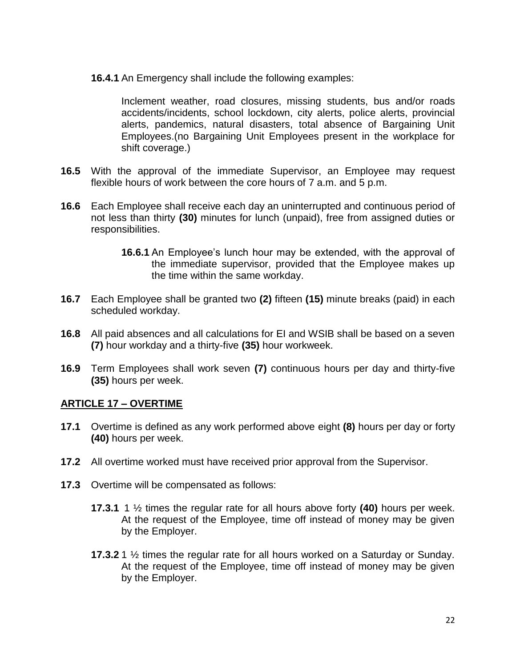**16.4.1** An Emergency shall include the following examples:

Inclement weather, road closures, missing students, bus and/or roads accidents/incidents, school lockdown, city alerts, police alerts, provincial alerts, pandemics, natural disasters, total absence of Bargaining Unit Employees.(no Bargaining Unit Employees present in the workplace for shift coverage.)

- **16.5** With the approval of the immediate Supervisor, an Employee may request flexible hours of work between the core hours of 7 a.m. and 5 p.m.
- **16.6** Each Employee shall receive each day an uninterrupted and continuous period of not less than thirty **(30)** minutes for lunch (unpaid), free from assigned duties or responsibilities.
	- **16.6.1** An Employee's lunch hour may be extended, with the approval of the immediate supervisor, provided that the Employee makes up the time within the same workday.
- **16.7** Each Employee shall be granted two **(2)** fifteen **(15)** minute breaks (paid) in each scheduled workday.
- **16.8** All paid absences and all calculations for EI and WSIB shall be based on a seven **(7)** hour workday and a thirty-five **(35)** hour workweek.
- **16.9** Term Employees shall work seven **(7)** continuous hours per day and thirty-five **(35)** hours per week.

## **ARTICLE 17 – OVERTIME**

- **17.1** Overtime is defined as any work performed above eight **(8)** hours per day or forty **(40)** hours per week.
- **17.2** All overtime worked must have received prior approval from the Supervisor.
- **17.3** Overtime will be compensated as follows:
	- **17.3.1** 1 ½ times the regular rate for all hours above forty **(40)** hours per week. At the request of the Employee, time off instead of money may be given by the Employer.
	- **17.3.2** 1 ½ times the regular rate for all hours worked on a Saturday or Sunday. At the request of the Employee, time off instead of money may be given by the Employer.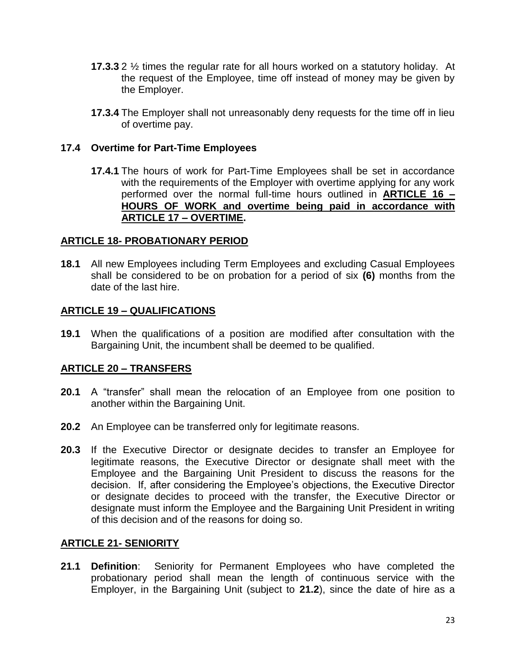- **17.3.3** 2 ½ times the regular rate for all hours worked on a statutory holiday. At the request of the Employee, time off instead of money may be given by the Employer.
- **17.3.4** The Employer shall not unreasonably deny requests for the time off in lieu of overtime pay.

## **17.4 Overtime for Part-Time Employees**

**17.4.1** The hours of work for Part-Time Employees shall be set in accordance with the requirements of the Employer with overtime applying for any work performed over the normal full-time hours outlined in **ARTICLE 16 – HOURS OF WORK and overtime being paid in accordance with ARTICLE 17 – OVERTIME.**

## **ARTICLE 18- PROBATIONARY PERIOD**

**18.1** All new Employees including Term Employees and excluding Casual Employees shall be considered to be on probation for a period of six **(6)** months from the date of the last hire.

# **ARTICLE 19 – QUALIFICATIONS**

**19.1** When the qualifications of a position are modified after consultation with the Bargaining Unit, the incumbent shall be deemed to be qualified.

# **ARTICLE 20 – TRANSFERS**

- **20.1** A "transfer" shall mean the relocation of an Employee from one position to another within the Bargaining Unit.
- **20.2** An Employee can be transferred only for legitimate reasons.
- **20.3** If the Executive Director or designate decides to transfer an Employee for legitimate reasons, the Executive Director or designate shall meet with the Employee and the Bargaining Unit President to discuss the reasons for the decision. If, after considering the Employee's objections, the Executive Director or designate decides to proceed with the transfer, the Executive Director or designate must inform the Employee and the Bargaining Unit President in writing of this decision and of the reasons for doing so.

## **ARTICLE 21- SENIORITY**

**21.1 Definition**: Seniority for Permanent Employees who have completed the probationary period shall mean the length of continuous service with the Employer, in the Bargaining Unit (subject to **21.2**), since the date of hire as a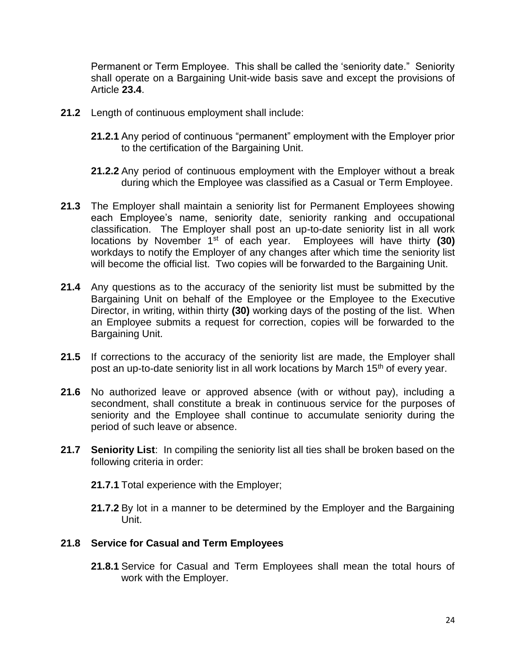Permanent or Term Employee. This shall be called the 'seniority date." Seniority shall operate on a Bargaining Unit-wide basis save and except the provisions of Article **23.4**.

- **21.2** Length of continuous employment shall include:
	- **21.2.1** Any period of continuous "permanent" employment with the Employer prior to the certification of the Bargaining Unit.
	- **21.2.2** Any period of continuous employment with the Employer without a break during which the Employee was classified as a Casual or Term Employee.
- **21.3** The Employer shall maintain a seniority list for Permanent Employees showing each Employee's name, seniority date, seniority ranking and occupational classification. The Employer shall post an up-to-date seniority list in all work locations by November 1st of each year. Employees will have thirty **(30)** workdays to notify the Employer of any changes after which time the seniority list will become the official list. Two copies will be forwarded to the Bargaining Unit.
- **21.4** Any questions as to the accuracy of the seniority list must be submitted by the Bargaining Unit on behalf of the Employee or the Employee to the Executive Director, in writing, within thirty **(30)** working days of the posting of the list. When an Employee submits a request for correction, copies will be forwarded to the Bargaining Unit.
- **21.5** If corrections to the accuracy of the seniority list are made, the Employer shall post an up-to-date seniority list in all work locations by March 15<sup>th</sup> of every year.
- **21.6** No authorized leave or approved absence (with or without pay), including a secondment, shall constitute a break in continuous service for the purposes of seniority and the Employee shall continue to accumulate seniority during the period of such leave or absence.
- **21.7 Seniority List**: In compiling the seniority list all ties shall be broken based on the following criteria in order:
	- **21.7.1** Total experience with the Employer;
	- **21.7.2** By lot in a manner to be determined by the Employer and the Bargaining Unit.

#### **21.8 Service for Casual and Term Employees**

**21.8.1** Service for Casual and Term Employees shall mean the total hours of work with the Employer.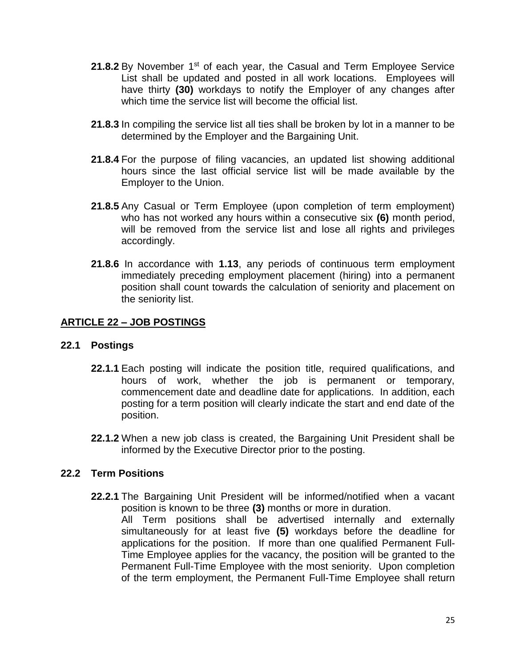- 21.8.2 By November 1<sup>st</sup> of each year, the Casual and Term Employee Service List shall be updated and posted in all work locations. Employees will have thirty **(30)** workdays to notify the Employer of any changes after which time the service list will become the official list.
- **21.8.3** In compiling the service list all ties shall be broken by lot in a manner to be determined by the Employer and the Bargaining Unit.
- **21.8.4** For the purpose of filing vacancies, an updated list showing additional hours since the last official service list will be made available by the Employer to the Union.
- **21.8.5** Any Casual or Term Employee (upon completion of term employment) who has not worked any hours within a consecutive six **(6)** month period, will be removed from the service list and lose all rights and privileges accordingly.
- **21.8.6** In accordance with **1.13**, any periods of continuous term employment immediately preceding employment placement (hiring) into a permanent position shall count towards the calculation of seniority and placement on the seniority list.

## **ARTICLE 22 – JOB POSTINGS**

## **22.1 Postings**

- **22.1.1** Each posting will indicate the position title, required qualifications, and hours of work, whether the job is permanent or temporary, commencement date and deadline date for applications. In addition, each posting for a term position will clearly indicate the start and end date of the position.
- **22.1.2** When a new job class is created, the Bargaining Unit President shall be informed by the Executive Director prior to the posting.

## **22.2 Term Positions**

**22.2.1** The Bargaining Unit President will be informed/notified when a vacant position is known to be three **(3)** months or more in duration.

All Term positions shall be advertised internally and externally simultaneously for at least five **(5)** workdays before the deadline for applications for the position. If more than one qualified Permanent Full-Time Employee applies for the vacancy, the position will be granted to the Permanent Full-Time Employee with the most seniority. Upon completion of the term employment, the Permanent Full-Time Employee shall return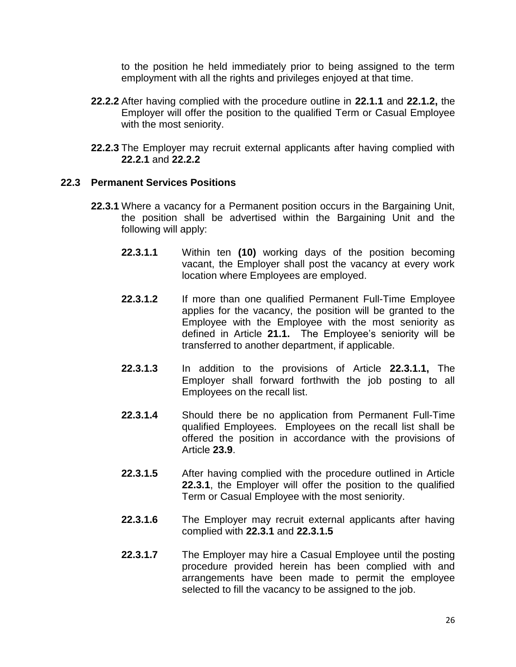to the position he held immediately prior to being assigned to the term employment with all the rights and privileges enjoyed at that time.

- **22.2.2** After having complied with the procedure outline in **22.1.1** and **22.1.2,** the Employer will offer the position to the qualified Term or Casual Employee with the most seniority.
- **22.2.3** The Employer may recruit external applicants after having complied with **22.2.1** and **22.2.2**

## **22.3 Permanent Services Positions**

- **22.3.1** Where a vacancy for a Permanent position occurs in the Bargaining Unit, the position shall be advertised within the Bargaining Unit and the following will apply:
	- **22.3.1.1** Within ten **(10)** working days of the position becoming vacant, the Employer shall post the vacancy at every work location where Employees are employed.
	- **22.3.1.2** If more than one qualified Permanent Full-Time Employee applies for the vacancy, the position will be granted to the Employee with the Employee with the most seniority as defined in Article **21.1.** The Employee's seniority will be transferred to another department, if applicable.
	- **22.3.1.3** In addition to the provisions of Article **22.3.1.1,** The Employer shall forward forthwith the job posting to all Employees on the recall list.
	- **22.3.1.4** Should there be no application from Permanent Full-Time qualified Employees. Employees on the recall list shall be offered the position in accordance with the provisions of Article **23.9**.
	- **22.3.1.5** After having complied with the procedure outlined in Article **22.3.1**, the Employer will offer the position to the qualified Term or Casual Employee with the most seniority.
	- **22.3.1.6** The Employer may recruit external applicants after having complied with **22.3.1** and **22.3.1.5**
	- **22.3.1.7** The Employer may hire a Casual Employee until the posting procedure provided herein has been complied with and arrangements have been made to permit the employee selected to fill the vacancy to be assigned to the job.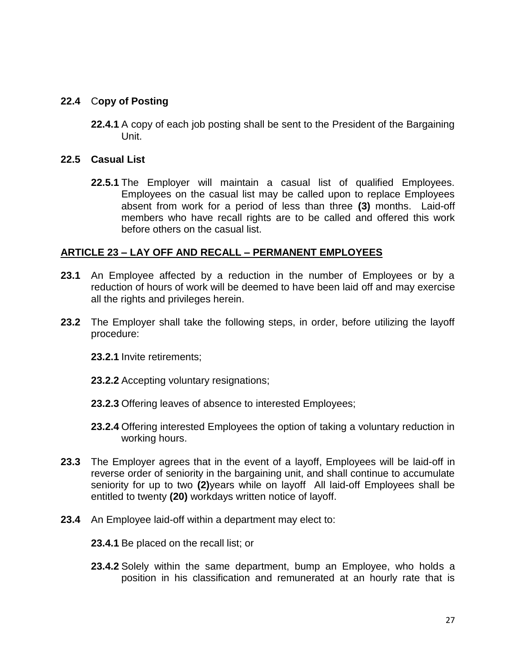# **22.4** C**opy of Posting**

**22.4.1** A copy of each job posting shall be sent to the President of the Bargaining Unit.

### **22.5 Casual List**

**22.5.1** The Employer will maintain a casual list of qualified Employees. Employees on the casual list may be called upon to replace Employees absent from work for a period of less than three **(3)** months. Laid-off members who have recall rights are to be called and offered this work before others on the casual list.

## **ARTICLE 23 – LAY OFF AND RECALL – PERMANENT EMPLOYEES**

- **23.1** An Employee affected by a reduction in the number of Employees or by a reduction of hours of work will be deemed to have been laid off and may exercise all the rights and privileges herein.
- **23.2** The Employer shall take the following steps, in order, before utilizing the layoff procedure:
	- **23.2.1** Invite retirements;
	- **23.2.2** Accepting voluntary resignations;
	- **23.2.3** Offering leaves of absence to interested Employees;
	- **23.2.4** Offering interested Employees the option of taking a voluntary reduction in working hours.
- **23.3** The Employer agrees that in the event of a layoff, Employees will be laid-off in reverse order of seniority in the bargaining unit, and shall continue to accumulate seniority for up to two **(2)**years while on layoff All laid-off Employees shall be entitled to twenty **(20)** workdays written notice of layoff.
- **23.4** An Employee laid-off within a department may elect to:
	- **23.4.1** Be placed on the recall list; or
	- **23.4.2** Solely within the same department, bump an Employee, who holds a position in his classification and remunerated at an hourly rate that is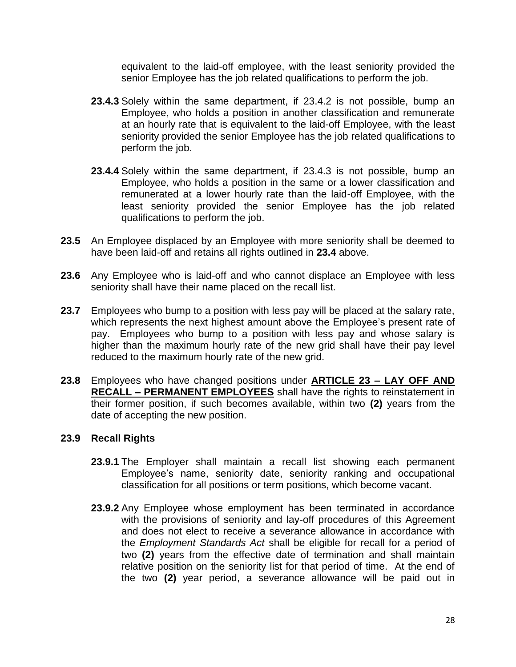equivalent to the laid-off employee, with the least seniority provided the senior Employee has the job related qualifications to perform the job.

- **23.4.3** Solely within the same department, if 23.4.2 is not possible, bump an Employee, who holds a position in another classification and remunerate at an hourly rate that is equivalent to the laid-off Employee, with the least seniority provided the senior Employee has the job related qualifications to perform the job.
- **23.4.4** Solely within the same department, if 23.4.3 is not possible, bump an Employee, who holds a position in the same or a lower classification and remunerated at a lower hourly rate than the laid-off Employee, with the least seniority provided the senior Employee has the job related qualifications to perform the job.
- **23.5** An Employee displaced by an Employee with more seniority shall be deemed to have been laid-off and retains all rights outlined in **23.4** above.
- **23.6** Any Employee who is laid-off and who cannot displace an Employee with less seniority shall have their name placed on the recall list.
- **23.7** Employees who bump to a position with less pay will be placed at the salary rate, which represents the next highest amount above the Employee's present rate of pay. Employees who bump to a position with less pay and whose salary is higher than the maximum hourly rate of the new grid shall have their pay level reduced to the maximum hourly rate of the new grid.
- **23.8** Employees who have changed positions under **ARTICLE 23 – LAY OFF AND RECALL – PERMANENT EMPLOYEES** shall have the rights to reinstatement in their former position, if such becomes available, within two **(2)** years from the date of accepting the new position.

## **23.9 Recall Rights**

- **23.9.1** The Employer shall maintain a recall list showing each permanent Employee's name, seniority date, seniority ranking and occupational classification for all positions or term positions, which become vacant.
- **23.9.2** Any Employee whose employment has been terminated in accordance with the provisions of seniority and lay-off procedures of this Agreement and does not elect to receive a severance allowance in accordance with the *Employment Standards Act* shall be eligible for recall for a period of two **(2)** years from the effective date of termination and shall maintain relative position on the seniority list for that period of time. At the end of the two **(2)** year period, a severance allowance will be paid out in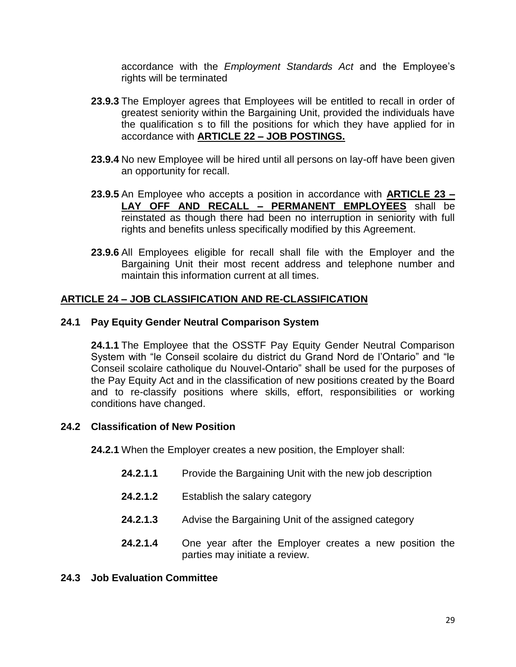accordance with the *Employment Standards Act* and the Employee's rights will be terminated

- **23.9.3** The Employer agrees that Employees will be entitled to recall in order of greatest seniority within the Bargaining Unit, provided the individuals have the qualification s to fill the positions for which they have applied for in accordance with **ARTICLE 22 – JOB POSTINGS.**
- **23.9.4** No new Employee will be hired until all persons on lay-off have been given an opportunity for recall.
- **23.9.5** An Employee who accepts a position in accordance with **ARTICLE 23 – LAY OFF AND RECALL – PERMANENT EMPLOYEES** shall be reinstated as though there had been no interruption in seniority with full rights and benefits unless specifically modified by this Agreement.
- **23.9.6** All Employees eligible for recall shall file with the Employer and the Bargaining Unit their most recent address and telephone number and maintain this information current at all times.

## **ARTICLE 24 – JOB CLASSIFICATION AND RE-CLASSIFICATION**

#### **24.1 Pay Equity Gender Neutral Comparison System**

**24.1.1** The Employee that the OSSTF Pay Equity Gender Neutral Comparison System with "le Conseil scolaire du district du Grand Nord de l'Ontario" and "le Conseil scolaire catholique du Nouvel-Ontario" shall be used for the purposes of the Pay Equity Act and in the classification of new positions created by the Board and to re-classify positions where skills, effort, responsibilities or working conditions have changed.

## **24.2 Classification of New Position**

**24.2.1** When the Employer creates a new position, the Employer shall:

- **24.2.1.1** Provide the Bargaining Unit with the new job description
- **24.2.1.2** Establish the salary category
- **24.2.1.3** Advise the Bargaining Unit of the assigned category
- **24.2.1.4** One year after the Employer creates a new position the parties may initiate a review.

#### **24.3 Job Evaluation Committee**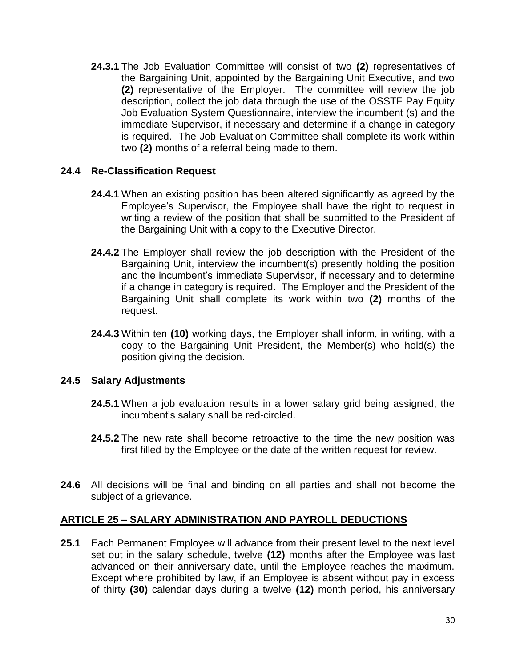**24.3.1** The Job Evaluation Committee will consist of two **(2)** representatives of the Bargaining Unit, appointed by the Bargaining Unit Executive, and two **(2)** representative of the Employer. The committee will review the job description, collect the job data through the use of the OSSTF Pay Equity Job Evaluation System Questionnaire, interview the incumbent (s) and the immediate Supervisor, if necessary and determine if a change in category is required. The Job Evaluation Committee shall complete its work within two **(2)** months of a referral being made to them.

## **24.4 Re-Classification Request**

- **24.4.1** When an existing position has been altered significantly as agreed by the Employee's Supervisor, the Employee shall have the right to request in writing a review of the position that shall be submitted to the President of the Bargaining Unit with a copy to the Executive Director.
- **24.4.2** The Employer shall review the job description with the President of the Bargaining Unit, interview the incumbent(s) presently holding the position and the incumbent's immediate Supervisor, if necessary and to determine if a change in category is required. The Employer and the President of the Bargaining Unit shall complete its work within two **(2)** months of the request.
- **24.4.3** Within ten **(10)** working days, the Employer shall inform, in writing, with a copy to the Bargaining Unit President, the Member(s) who hold(s) the position giving the decision.

## **24.5 Salary Adjustments**

- **24.5.1** When a job evaluation results in a lower salary grid being assigned, the incumbent's salary shall be red-circled.
- **24.5.2** The new rate shall become retroactive to the time the new position was first filled by the Employee or the date of the written request for review.
- **24.6** All decisions will be final and binding on all parties and shall not become the subject of a grievance.

## **ARTICLE 25 – SALARY ADMINISTRATION AND PAYROLL DEDUCTIONS**

**25.1** Each Permanent Employee will advance from their present level to the next level set out in the salary schedule, twelve **(12)** months after the Employee was last advanced on their anniversary date, until the Employee reaches the maximum. Except where prohibited by law, if an Employee is absent without pay in excess of thirty **(30)** calendar days during a twelve **(12)** month period, his anniversary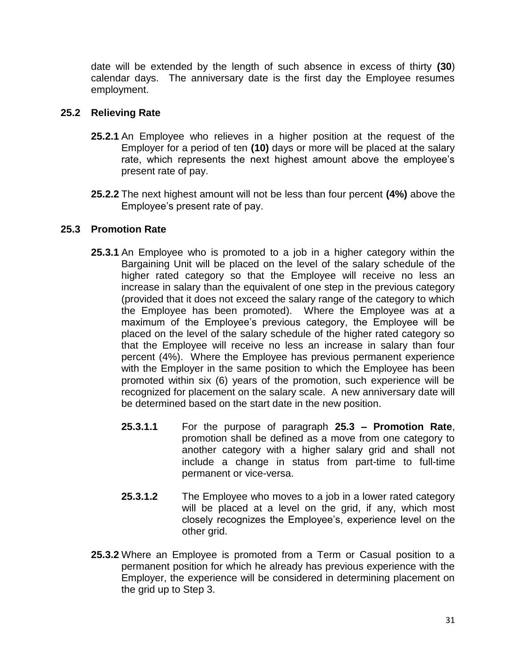date will be extended by the length of such absence in excess of thirty **(30**) calendar days. The anniversary date is the first day the Employee resumes employment.

# **25.2 Relieving Rate**

- **25.2.1** An Employee who relieves in a higher position at the request of the Employer for a period of ten **(10)** days or more will be placed at the salary rate, which represents the next highest amount above the employee's present rate of pay.
- **25.2.2** The next highest amount will not be less than four percent **(4%)** above the Employee's present rate of pay.

# **25.3 Promotion Rate**

- **25.3.1** An Employee who is promoted to a job in a higher category within the Bargaining Unit will be placed on the level of the salary schedule of the higher rated category so that the Employee will receive no less an increase in salary than the equivalent of one step in the previous category (provided that it does not exceed the salary range of the category to which the Employee has been promoted). Where the Employee was at a maximum of the Employee's previous category, the Employee will be placed on the level of the salary schedule of the higher rated category so that the Employee will receive no less an increase in salary than four percent (4%). Where the Employee has previous permanent experience with the Employer in the same position to which the Employee has been promoted within six (6) years of the promotion, such experience will be recognized for placement on the salary scale. A new anniversary date will be determined based on the start date in the new position.
	- **25.3.1.1** For the purpose of paragraph **25.3 – Promotion Rate**, promotion shall be defined as a move from one category to another category with a higher salary grid and shall not include a change in status from part-time to full-time permanent or vice-versa.
	- **25.3.1.2** The Employee who moves to a job in a lower rated category will be placed at a level on the grid, if any, which most closely recognizes the Employee's, experience level on the other grid.
- **25.3.2** Where an Employee is promoted from a Term or Casual position to a permanent position for which he already has previous experience with the Employer, the experience will be considered in determining placement on the grid up to Step 3.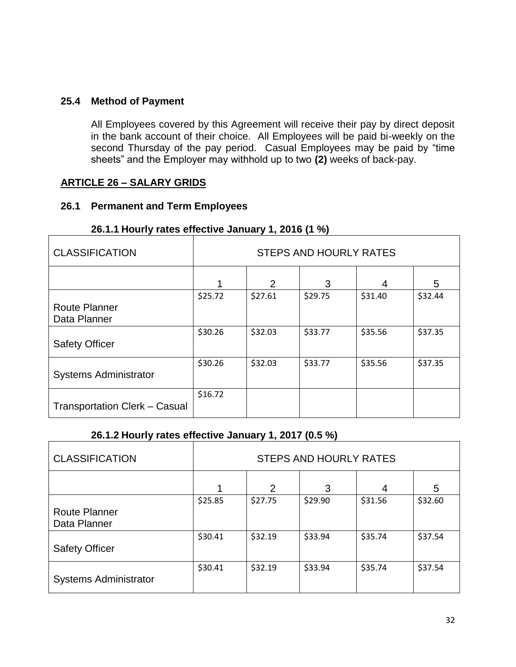## **25.4 Method of Payment**

All Employees covered by this Agreement will receive their pay by direct deposit in the bank account of their choice. All Employees will be paid bi-weekly on the second Thursday of the pay period. Casual Employees may be paid by "time sheets" and the Employer may withhold up to two **(2)** weeks of back-pay.

#### **ARTICLE 26 – SALARY GRIDS**

#### **26.1 Permanent and Term Employees**

# **26.1.1 Hourly rates effective January 1, 2016 (1 %)**

| <b>CLASSIFICATION</b>                | <b>STEPS AND HOURLY RATES</b> |         |         |         |         |  |
|--------------------------------------|-------------------------------|---------|---------|---------|---------|--|
|                                      |                               | 2       | 3       | 4       | 5       |  |
| <b>Route Planner</b><br>Data Planner | \$25.72                       | \$27.61 | \$29.75 | \$31.40 | \$32.44 |  |
| <b>Safety Officer</b>                | \$30.26                       | \$32.03 | \$33.77 | \$35.56 | \$37.35 |  |
| <b>Systems Administrator</b>         | \$30.26                       | \$32.03 | \$33.77 | \$35.56 | \$37.35 |  |
| <b>Transportation Clerk - Casual</b> | \$16.72                       |         |         |         |         |  |

#### **26.1.2 Hourly rates effective January 1, 2017 (0.5 %)**

| <b>CLASSIFICATION</b>                | <b>STEPS AND HOURLY RATES</b> |               |         |         |         |  |
|--------------------------------------|-------------------------------|---------------|---------|---------|---------|--|
|                                      |                               | $\mathcal{P}$ | 3       | 4       | 5       |  |
| <b>Route Planner</b><br>Data Planner | \$25.85                       | \$27.75       | \$29.90 | \$31.56 | \$32.60 |  |
| <b>Safety Officer</b>                | \$30.41                       | \$32.19       | \$33.94 | \$35.74 | \$37.54 |  |
| <b>Systems Administrator</b>         | \$30.41                       | \$32.19       | \$33.94 | \$35.74 | \$37.54 |  |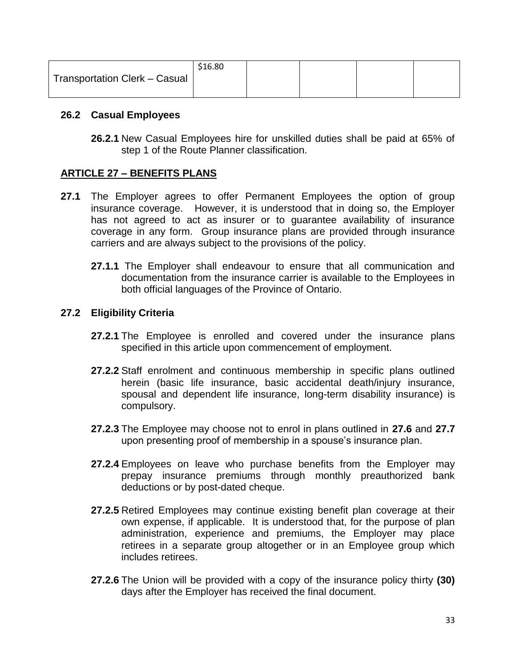|                               | \$16.80 |  |  |
|-------------------------------|---------|--|--|
| Transportation Clerk - Casual |         |  |  |
|                               |         |  |  |

## **26.2 Casual Employees**

**26.2.1** New Casual Employees hire for unskilled duties shall be paid at 65% of step 1 of the Route Planner classification.

# **ARTICLE 27 – BENEFITS PLANS**

- **27.1** The Employer agrees to offer Permanent Employees the option of group insurance coverage. However, it is understood that in doing so, the Employer has not agreed to act as insurer or to guarantee availability of insurance coverage in any form. Group insurance plans are provided through insurance carriers and are always subject to the provisions of the policy.
	- **27.1.1** The Employer shall endeavour to ensure that all communication and documentation from the insurance carrier is available to the Employees in both official languages of the Province of Ontario.

# **27.2 Eligibility Criteria**

- **27.2.1** The Employee is enrolled and covered under the insurance plans specified in this article upon commencement of employment.
- **27.2.2** Staff enrolment and continuous membership in specific plans outlined herein (basic life insurance, basic accidental death/injury insurance, spousal and dependent life insurance, long-term disability insurance) is compulsory.
- **27.2.3** The Employee may choose not to enrol in plans outlined in **27.6** and **27.7**  upon presenting proof of membership in a spouse's insurance plan.
- **27.2.4** Employees on leave who purchase benefits from the Employer may prepay insurance premiums through monthly preauthorized bank deductions or by post-dated cheque.
- **27.2.5** Retired Employees may continue existing benefit plan coverage at their own expense, if applicable. It is understood that, for the purpose of plan administration, experience and premiums, the Employer may place retirees in a separate group altogether or in an Employee group which includes retirees.
- **27.2.6** The Union will be provided with a copy of the insurance policy thirty **(30)** days after the Employer has received the final document.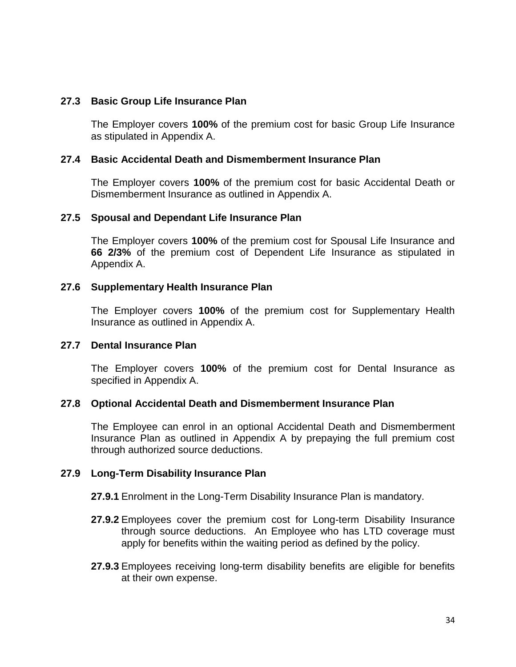#### **27.3 Basic Group Life Insurance Plan**

The Employer covers **100%** of the premium cost for basic Group Life Insurance as stipulated in Appendix A.

#### **27.4 Basic Accidental Death and Dismemberment Insurance Plan**

The Employer covers **100%** of the premium cost for basic Accidental Death or Dismemberment Insurance as outlined in Appendix A.

#### **27.5 Spousal and Dependant Life Insurance Plan**

The Employer covers **100%** of the premium cost for Spousal Life Insurance and **66 2/3%** of the premium cost of Dependent Life Insurance as stipulated in Appendix A.

#### **27.6 Supplementary Health Insurance Plan**

The Employer covers **100%** of the premium cost for Supplementary Health Insurance as outlined in Appendix A.

#### **27.7 Dental Insurance Plan**

The Employer covers **100%** of the premium cost for Dental Insurance as specified in Appendix A.

## **27.8 Optional Accidental Death and Dismemberment Insurance Plan**

The Employee can enrol in an optional Accidental Death and Dismemberment Insurance Plan as outlined in Appendix A by prepaying the full premium cost through authorized source deductions.

#### **27.9 Long-Term Disability Insurance Plan**

**27.9.1** Enrolment in the Long-Term Disability Insurance Plan is mandatory.

- **27.9.2** Employees cover the premium cost for Long-term Disability Insurance through source deductions. An Employee who has LTD coverage must apply for benefits within the waiting period as defined by the policy.
- **27.9.3** Employees receiving long-term disability benefits are eligible for benefits at their own expense.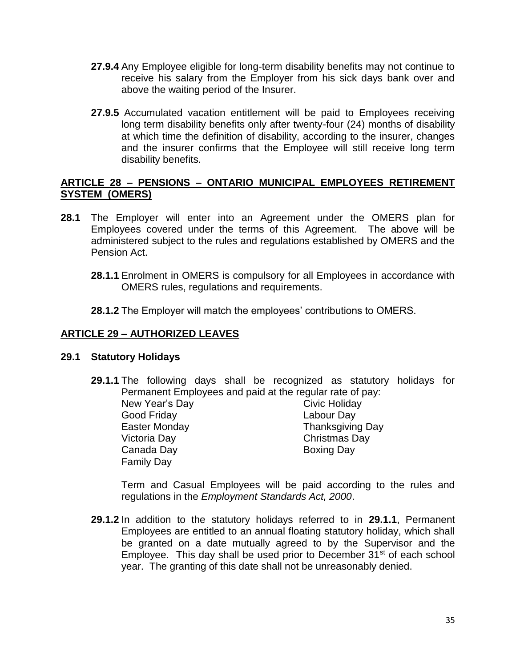- **27.9.4** Any Employee eligible for long-term disability benefits may not continue to receive his salary from the Employer from his sick days bank over and above the waiting period of the Insurer.
- **27.9.5** Accumulated vacation entitlement will be paid to Employees receiving long term disability benefits only after twenty-four (24) months of disability at which time the definition of disability, according to the insurer, changes and the insurer confirms that the Employee will still receive long term disability benefits.

## **ARTICLE 28 – PENSIONS – ONTARIO MUNICIPAL EMPLOYEES RETIREMENT SYSTEM (OMERS)**

- **28.1** The Employer will enter into an Agreement under the OMERS plan for Employees covered under the terms of this Agreement. The above will be administered subject to the rules and regulations established by OMERS and the Pension Act.
	- **28.1.1** Enrolment in OMERS is compulsory for all Employees in accordance with OMERS rules, regulations and requirements.
	- **28.1.2** The Employer will match the employees' contributions to OMERS.

# **ARTICLE 29 – AUTHORIZED LEAVES**

## **29.1 Statutory Holidays**

**29.1.1** The following days shall be recognized as statutory holidays for Permanent Employees and paid at the regular rate of pay:

Good Friday Labour Day Victoria Day Christmas Day Canada Day **Boxing Day** Family Day

New Year's Day Civic Holiday Easter Monday Thanksgiving Day

Term and Casual Employees will be paid according to the rules and regulations in the *Employment Standards Act, 2000*.

**29.1.2** In addition to the statutory holidays referred to in **29.1.1**, Permanent Employees are entitled to an annual floating statutory holiday, which shall be granted on a date mutually agreed to by the Supervisor and the Employee. This day shall be used prior to December 31<sup>st</sup> of each school year. The granting of this date shall not be unreasonably denied.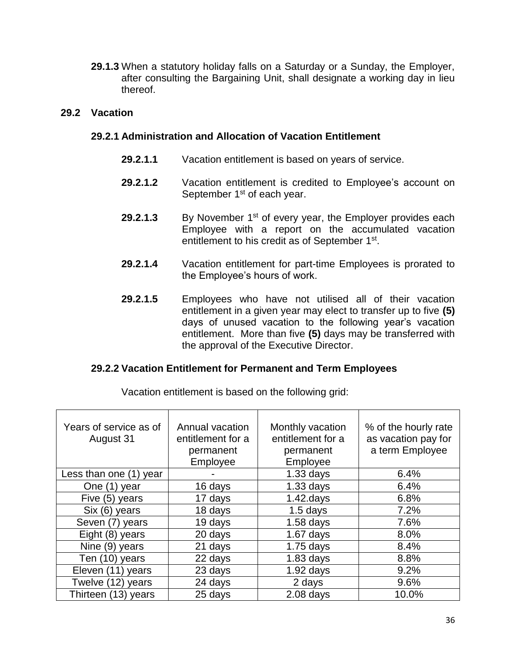**29.1.3** When a statutory holiday falls on a Saturday or a Sunday, the Employer, after consulting the Bargaining Unit, shall designate a working day in lieu thereof.

## **29.2 Vacation**

## **29.2.1 Administration and Allocation of Vacation Entitlement**

- **29.2.1.1** Vacation entitlement is based on years of service.
- **29.2.1.2** Vacation entitlement is credited to Employee's account on September 1<sup>st</sup> of each year.
- **29.2.1.3** By November 1<sup>st</sup> of every year, the Employer provides each Employee with a report on the accumulated vacation entitlement to his credit as of September 1<sup>st</sup>.
- **29.2.1.4** Vacation entitlement for part-time Employees is prorated to the Employee's hours of work.
- **29.2.1.5** Employees who have not utilised all of their vacation entitlement in a given year may elect to transfer up to five **(5)**  days of unused vacation to the following year's vacation entitlement. More than five **(5)** days may be transferred with the approval of the Executive Director.

## **29.2.2 Vacation Entitlement for Permanent and Term Employees**

| Years of service as of<br>August 31 | Annual vacation<br>entitlement for a<br>permanent<br>Employee | Monthly vacation<br>entitlement for a<br>permanent<br>Employee | % of the hourly rate<br>as vacation pay for<br>a term Employee |
|-------------------------------------|---------------------------------------------------------------|----------------------------------------------------------------|----------------------------------------------------------------|
| Less than one (1) year              |                                                               | $1.33$ days                                                    | 6.4%                                                           |
| One (1) year                        | 16 days                                                       | $1.33$ days                                                    | 6.4%                                                           |
| Five (5) years                      | 17 days                                                       | $1.42$ .days                                                   | 6.8%                                                           |
| Six (6) years                       | 18 days                                                       | $1.5$ days                                                     | 7.2%                                                           |
| Seven (7) years                     | 19 days                                                       | $1.58$ days                                                    | 7.6%                                                           |
| Eight (8) years                     | 20 days                                                       | $1.67$ days                                                    | 8.0%                                                           |
| Nine (9) years                      | 21 days                                                       | $1.75$ days                                                    | 8.4%                                                           |
| Ten (10) years                      | 22 days                                                       | $1.83$ days                                                    | 8.8%                                                           |
| Eleven (11) years                   | 23 days                                                       | $1.92$ days                                                    | 9.2%                                                           |
| Twelve (12) years                   | 24 days                                                       | 2 days                                                         | 9.6%                                                           |
| Thirteen (13) years                 | 25 days                                                       | $2.08$ days                                                    | 10.0%                                                          |

Vacation entitlement is based on the following grid: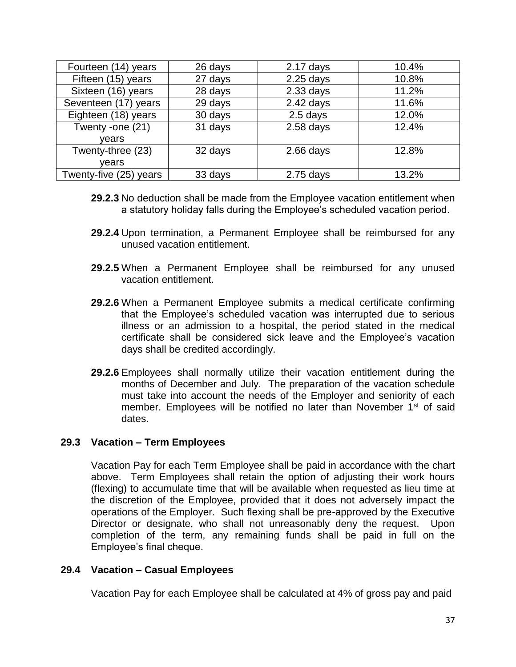| Fourteen (14) years    | 26 days | $2.17$ days | 10.4% |
|------------------------|---------|-------------|-------|
| Fifteen (15) years     | 27 days | $2.25$ days | 10.8% |
| Sixteen (16) years     | 28 days | $2.33$ days | 11.2% |
| Seventeen (17) years   | 29 days | $2.42$ days | 11.6% |
| Eighteen (18) years    | 30 days | 2.5 days    | 12.0% |
| Twenty -one (21)       | 31 days | $2.58$ days | 12.4% |
| vears                  |         |             |       |
| Twenty-three (23)      | 32 days | $2.66$ days | 12.8% |
| vears                  |         |             |       |
| Twenty-five (25) years | 33 days | $2.75$ days | 13.2% |

- **29.2.3** No deduction shall be made from the Employee vacation entitlement when a statutory holiday falls during the Employee's scheduled vacation period.
- **29.2.4** Upon termination, a Permanent Employee shall be reimbursed for any unused vacation entitlement.
- **29.2.5** When a Permanent Employee shall be reimbursed for any unused vacation entitlement.
- **29.2.6** When a Permanent Employee submits a medical certificate confirming that the Employee's scheduled vacation was interrupted due to serious illness or an admission to a hospital, the period stated in the medical certificate shall be considered sick leave and the Employee's vacation days shall be credited accordingly.
- **29.2.6** Employees shall normally utilize their vacation entitlement during the months of December and July. The preparation of the vacation schedule must take into account the needs of the Employer and seniority of each member. Employees will be notified no later than November  $1<sup>st</sup>$  of said dates.

## **29.3 Vacation – Term Employees**

Vacation Pay for each Term Employee shall be paid in accordance with the chart above. Term Employees shall retain the option of adjusting their work hours (flexing) to accumulate time that will be available when requested as lieu time at the discretion of the Employee, provided that it does not adversely impact the operations of the Employer. Such flexing shall be pre-approved by the Executive Director or designate, who shall not unreasonably deny the request. Upon completion of the term, any remaining funds shall be paid in full on the Employee's final cheque.

#### **29.4 Vacation – Casual Employees**

Vacation Pay for each Employee shall be calculated at 4% of gross pay and paid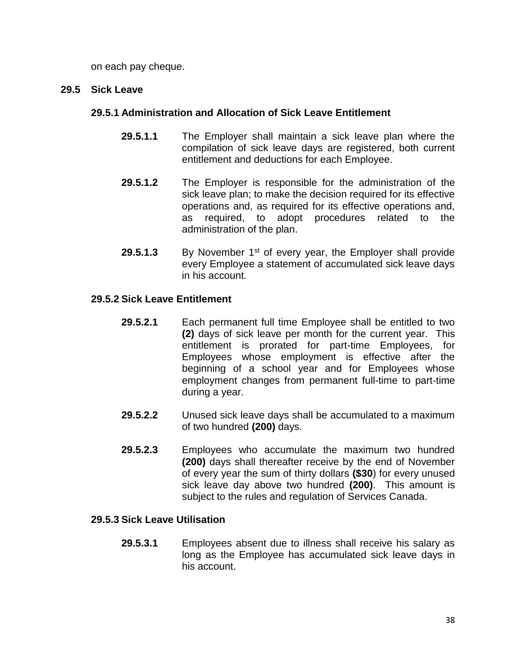on each pay cheque.

## **29.5 Sick Leave**

# **29.5.1 Administration and Allocation of Sick Leave Entitlement**

- **29.5.1.1** The Employer shall maintain a sick leave plan where the compilation of sick leave days are registered, both current entitlement and deductions for each Employee.
- **29.5.1.2** The Employer is responsible for the administration of the sick leave plan; to make the decision required for its effective operations and, as required for its effective operations and, as required, to adopt procedures related to the administration of the plan.
- **29.5.1.3** By November 1<sup>st</sup> of every year, the Employer shall provide every Employee a statement of accumulated sick leave days in his account.

# **29.5.2 Sick Leave Entitlement**

- **29.5.2.1** Each permanent full time Employee shall be entitled to two **(2)** days of sick leave per month for the current year. This entitlement is prorated for part-time Employees, for Employees whose employment is effective after the beginning of a school year and for Employees whose employment changes from permanent full-time to part-time during a year.
- **29.5.2.2** Unused sick leave days shall be accumulated to a maximum of two hundred **(200)** days.
- **29.5.2.3** Employees who accumulate the maximum two hundred **(200)** days shall thereafter receive by the end of November of every year the sum of thirty dollars **(\$30**) for every unused sick leave day above two hundred **(200)**. This amount is subject to the rules and regulation of Services Canada.

# **29.5.3 Sick Leave Utilisation**

**29.5.3.1** Employees absent due to illness shall receive his salary as long as the Employee has accumulated sick leave days in his account.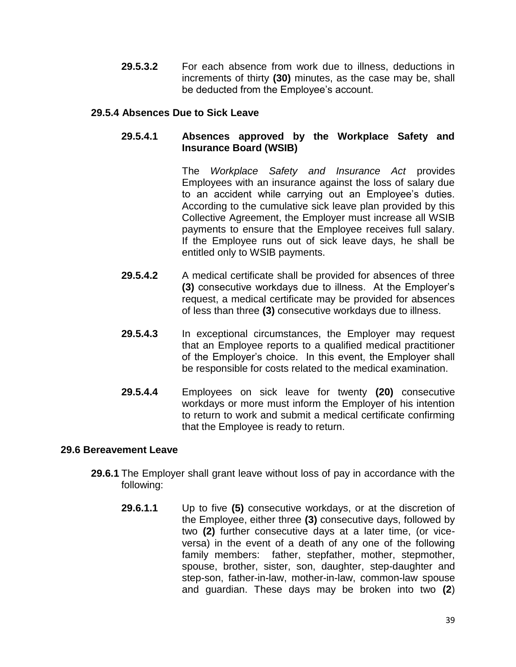**29.5.3.2** For each absence from work due to illness, deductions in increments of thirty **(30)** minutes, as the case may be, shall be deducted from the Employee's account.

## **29.5.4 Absences Due to Sick Leave**

# **29.5.4.1 Absences approved by the Workplace Safety and Insurance Board (WSIB)**

The *Workplace Safety and Insurance Act* provides Employees with an insurance against the loss of salary due to an accident while carrying out an Employee's duties. According to the cumulative sick leave plan provided by this Collective Agreement, the Employer must increase all WSIB payments to ensure that the Employee receives full salary. If the Employee runs out of sick leave days, he shall be entitled only to WSIB payments.

- **29.5.4.2** A medical certificate shall be provided for absences of three **(3)** consecutive workdays due to illness. At the Employer's request, a medical certificate may be provided for absences of less than three **(3)** consecutive workdays due to illness.
- **29.5.4.3** In exceptional circumstances, the Employer may request that an Employee reports to a qualified medical practitioner of the Employer's choice. In this event, the Employer shall be responsible for costs related to the medical examination.
- **29.5.4.4** Employees on sick leave for twenty **(20)** consecutive workdays or more must inform the Employer of his intention to return to work and submit a medical certificate confirming that the Employee is ready to return.

## **29.6 Bereavement Leave**

- **29.6.1** The Employer shall grant leave without loss of pay in accordance with the following:
	- **29.6.1.1** Up to five **(5)** consecutive workdays, or at the discretion of the Employee, either three **(3)** consecutive days, followed by two **(2)** further consecutive days at a later time, (or viceversa) in the event of a death of any one of the following family members: father, stepfather, mother, stepmother, spouse, brother, sister, son, daughter, step-daughter and step-son, father-in-law, mother-in-law, common-law spouse and guardian. These days may be broken into two **(2**)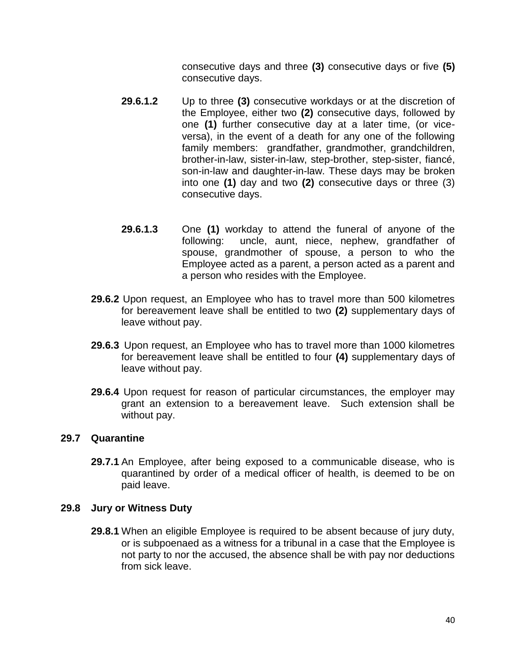consecutive days and three **(3)** consecutive days or five **(5)** consecutive days.

- **29.6.1.2** Up to three **(3)** consecutive workdays or at the discretion of the Employee, either two **(2)** consecutive days, followed by one **(1)** further consecutive day at a later time, (or viceversa), in the event of a death for any one of the following family members: grandfather, grandmother, grandchildren, brother-in-law, sister-in-law, step-brother, step-sister, fiancé, son-in-law and daughter-in-law. These days may be broken into one **(1)** day and two **(2)** consecutive days or three (3) consecutive days.
- **29.6.1.3** One **(1)** workday to attend the funeral of anyone of the following: uncle, aunt, niece, nephew, grandfather of spouse, grandmother of spouse, a person to who the Employee acted as a parent, a person acted as a parent and a person who resides with the Employee.
- **29.6.2** Upon request, an Employee who has to travel more than 500 kilometres for bereavement leave shall be entitled to two **(2)** supplementary days of leave without pay.
- **29.6.3** Upon request, an Employee who has to travel more than 1000 kilometres for bereavement leave shall be entitled to four **(4)** supplementary days of leave without pay.
- **29.6.4** Upon request for reason of particular circumstances, the employer may grant an extension to a bereavement leave. Such extension shall be without pay.

## **29.7 Quarantine**

**29.7.1** An Employee, after being exposed to a communicable disease, who is quarantined by order of a medical officer of health, is deemed to be on paid leave.

#### **29.8 Jury or Witness Duty**

**29.8.1** When an eligible Employee is required to be absent because of jury duty, or is subpoenaed as a witness for a tribunal in a case that the Employee is not party to nor the accused, the absence shall be with pay nor deductions from sick leave.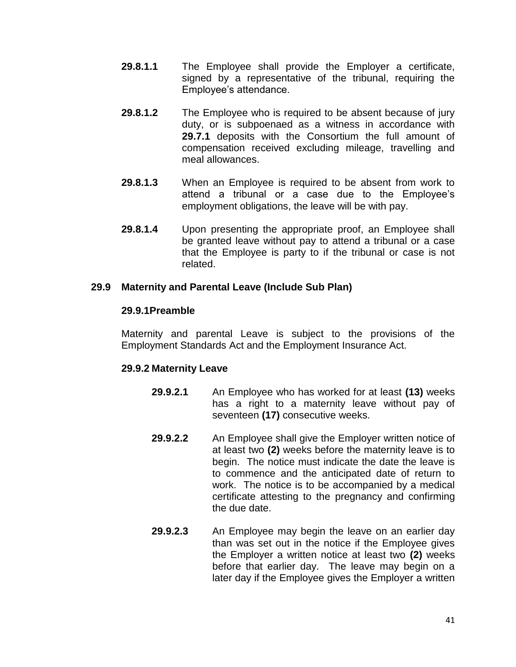- **29.8.1.1** The Employee shall provide the Employer a certificate, signed by a representative of the tribunal, requiring the Employee's attendance.
- **29.8.1.2** The Employee who is required to be absent because of jury duty, or is subpoenaed as a witness in accordance with **29.7.1** deposits with the Consortium the full amount of compensation received excluding mileage, travelling and meal allowances.
- **29.8.1.3** When an Employee is required to be absent from work to attend a tribunal or a case due to the Employee's employment obligations, the leave will be with pay.
- **29.8.1.4** Upon presenting the appropriate proof, an Employee shall be granted leave without pay to attend a tribunal or a case that the Employee is party to if the tribunal or case is not related.

#### **29.9 Maternity and Parental Leave (Include Sub Plan)**

#### **29.9.1Preamble**

Maternity and parental Leave is subject to the provisions of the Employment Standards Act and the Employment Insurance Act.

## **29.9.2 Maternity Leave**

- **29.9.2.1** An Employee who has worked for at least **(13)** weeks has a right to a maternity leave without pay of seventeen **(17)** consecutive weeks.
- **29.9.2.2** An Employee shall give the Employer written notice of at least two **(2)** weeks before the maternity leave is to begin. The notice must indicate the date the leave is to commence and the anticipated date of return to work. The notice is to be accompanied by a medical certificate attesting to the pregnancy and confirming the due date.
- **29.9.2.3** An Employee may begin the leave on an earlier day than was set out in the notice if the Employee gives the Employer a written notice at least two **(2)** weeks before that earlier day. The leave may begin on a later day if the Employee gives the Employer a written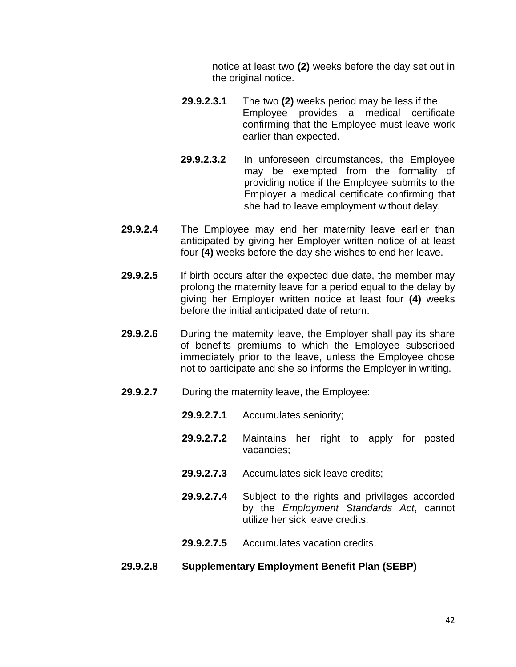notice at least two **(2)** weeks before the day set out in the original notice.

- **29.9.2.3.1** The two **(2)** weeks period may be less if the Employee provides a medical certificate confirming that the Employee must leave work earlier than expected.
- **29.9.2.3.2** In unforeseen circumstances, the Employee may be exempted from the formality of providing notice if the Employee submits to the Employer a medical certificate confirming that she had to leave employment without delay.
- **29.9.2.4** The Employee may end her maternity leave earlier than anticipated by giving her Employer written notice of at least four **(4)** weeks before the day she wishes to end her leave.
- **29.9.2.5** If birth occurs after the expected due date, the member may prolong the maternity leave for a period equal to the delay by giving her Employer written notice at least four **(4)** weeks before the initial anticipated date of return.
- **29.9.2.6** During the maternity leave, the Employer shall pay its share of benefits premiums to which the Employee subscribed immediately prior to the leave, unless the Employee chose not to participate and she so informs the Employer in writing.
- **29.9.2.7** During the maternity leave, the Employee:
	- **29.9.2.7.1** Accumulates seniority;
	- **29.9.2.7.2** Maintains her right to apply for posted vacancies;
	- **29.9.2.7.3** Accumulates sick leave credits;
	- **29.9.2.7.4** Subject to the rights and privileges accorded by the *Employment Standards Act*, cannot utilize her sick leave credits.
	- **29.9.2.7.5** Accumulates vacation credits.

#### **29.9.2.8 Supplementary Employment Benefit Plan (SEBP)**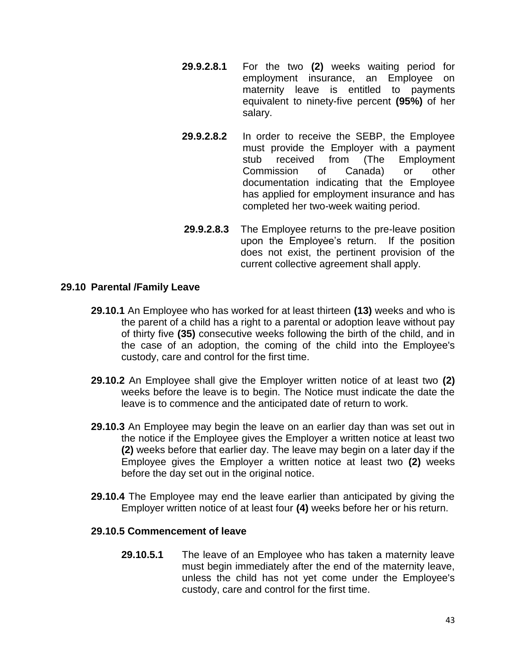- **29.9.2.8.1** For the two **(2)** weeks waiting period for employment insurance, an Employee on maternity leave is entitled to payments equivalent to ninety-five percent **(95%)** of her salary.
- **29.9.2.8.2** In order to receive the SEBP, the Employee must provide the Employer with a payment stub received from (The Employment Commission of Canada) or other documentation indicating that the Employee has applied for employment insurance and has completed her two-week waiting period.
- **29.9.2.8.3** The Employee returns to the pre-leave position upon the Employee's return. If the position does not exist, the pertinent provision of the current collective agreement shall apply.

# **29.10 Parental /Family Leave**

- **29.10.1** An Employee who has worked for at least thirteen **(13)** weeks and who is the parent of a child has a right to a parental or adoption leave without pay of thirty five **(35)** consecutive weeks following the birth of the child, and in the case of an adoption, the coming of the child into the Employee's custody, care and control for the first time.
- **29.10.2** An Employee shall give the Employer written notice of at least two **(2)** weeks before the leave is to begin. The Notice must indicate the date the leave is to commence and the anticipated date of return to work.
- **29.10.3** An Employee may begin the leave on an earlier day than was set out in the notice if the Employee gives the Employer a written notice at least two **(2)** weeks before that earlier day. The leave may begin on a later day if the Employee gives the Employer a written notice at least two **(2)** weeks before the day set out in the original notice.
- **29.10.4** The Employee may end the leave earlier than anticipated by giving the Employer written notice of at least four **(4)** weeks before her or his return.

## **29.10.5 Commencement of leave**

**29.10.5.1** The leave of an Employee who has taken a maternity leave must begin immediately after the end of the maternity leave, unless the child has not yet come under the Employee's custody, care and control for the first time.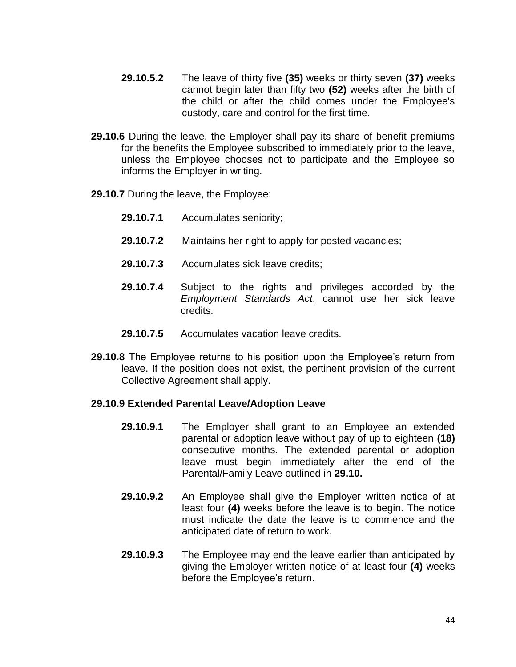- **29.10.5.2** The leave of thirty five **(35)** weeks or thirty seven **(37)** weeks cannot begin later than fifty two **(52)** weeks after the birth of the child or after the child comes under the Employee's custody, care and control for the first time.
- **29.10.6** During the leave, the Employer shall pay its share of benefit premiums for the benefits the Employee subscribed to immediately prior to the leave, unless the Employee chooses not to participate and the Employee so informs the Employer in writing.
- **29.10.7** During the leave, the Employee:
	- **29.10.7.1** Accumulates seniority;
	- **29.10.7.2** Maintains her right to apply for posted vacancies;
	- **29.10.7.3** Accumulates sick leave credits;
	- **29.10.7.4** Subject to the rights and privileges accorded by the *Employment Standards Act*, cannot use her sick leave credits.
	- **29.10.7.5** Accumulates vacation leave credits.
- **29.10.8** The Employee returns to his position upon the Employee's return from leave. If the position does not exist, the pertinent provision of the current Collective Agreement shall apply.

#### **29.10.9 Extended Parental Leave/Adoption Leave**

- **29.10.9.1** The Employer shall grant to an Employee an extended parental or adoption leave without pay of up to eighteen **(18)** consecutive months. The extended parental or adoption leave must begin immediately after the end of the Parental/Family Leave outlined in **29.10.**
- **29.10.9.2** An Employee shall give the Employer written notice of at least four **(4)** weeks before the leave is to begin. The notice must indicate the date the leave is to commence and the anticipated date of return to work.
- **29.10.9.3** The Employee may end the leave earlier than anticipated by giving the Employer written notice of at least four **(4)** weeks before the Employee's return.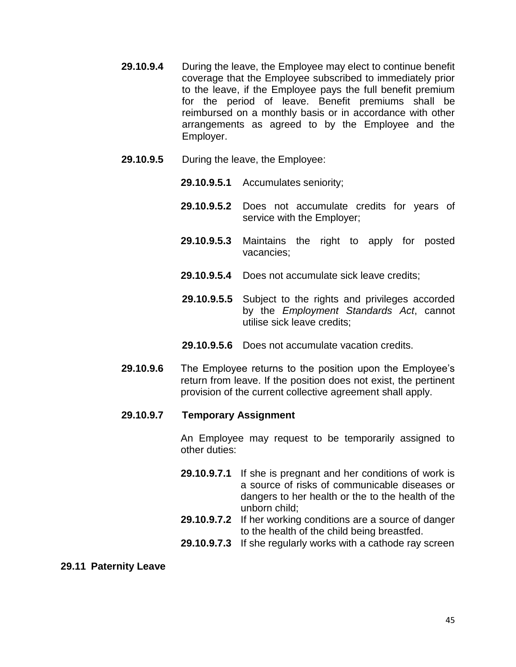- **29.10.9.4** During the leave, the Employee may elect to continue benefit coverage that the Employee subscribed to immediately prior to the leave, if the Employee pays the full benefit premium for the period of leave. Benefit premiums shall be reimbursed on a monthly basis or in accordance with other arrangements as agreed to by the Employee and the Employer.
- **29.10.9.5** During the leave, the Employee:
	- **29.10.9.5.1** Accumulates seniority;
	- **29.10.9.5.2** Does not accumulate credits for years of service with the Employer;
	- **29.10.9.5.3** Maintains the right to apply for posted vacancies;
	- **29.10.9.5.4** Does not accumulate sick leave credits;
	- **29.10.9.5.5** Subject to the rights and privileges accorded by the *Employment Standards Act*, cannot utilise sick leave credits;
	- **29.10.9.5.6** Does not accumulate vacation credits.
- **29.10.9.6** The Employee returns to the position upon the Employee's return from leave. If the position does not exist, the pertinent provision of the current collective agreement shall apply.

#### **29.10.9.7 Temporary Assignment**

An Employee may request to be temporarily assigned to other duties:

- **29.10.9.7.1** If she is pregnant and her conditions of work is a source of risks of communicable diseases or dangers to her health or the to the health of the unborn child;
- **29.10.9.7.2** If her working conditions are a source of danger to the health of the child being breastfed.
- **29.10.9.7.3** If she regularly works with a cathode ray screen

#### **29.11 Paternity Leave**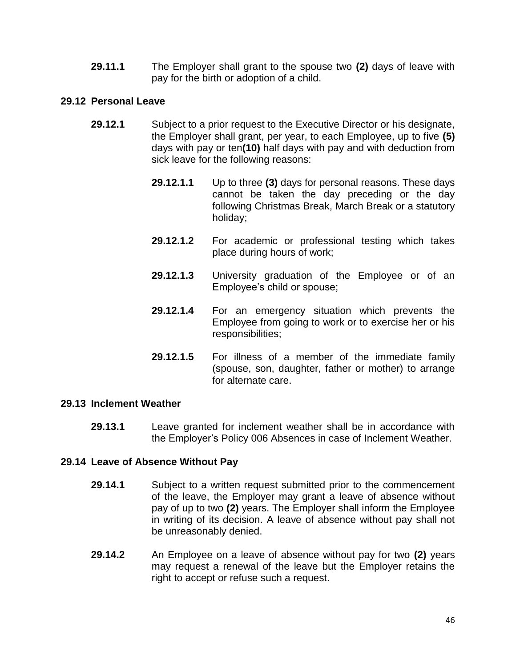**29.11.1** The Employer shall grant to the spouse two **(2)** days of leave with pay for the birth or adoption of a child.

### **29.12 Personal Leave**

- **29.12.1** Subject to a prior request to the Executive Director or his designate, the Employer shall grant, per year, to each Employee, up to five **(5)**  days with pay or ten**(10)** half days with pay and with deduction from sick leave for the following reasons:
	- **29.12.1.1** Up to three **(3)** days for personal reasons. These days cannot be taken the day preceding or the day following Christmas Break, March Break or a statutory holiday;
	- **29.12.1.2** For academic or professional testing which takes place during hours of work;
	- **29.12.1.3** University graduation of the Employee or of an Employee's child or spouse;
	- **29.12.1.4** For an emergency situation which prevents the Employee from going to work or to exercise her or his responsibilities;
	- **29.12.1.5** For illness of a member of the immediate family (spouse, son, daughter, father or mother) to arrange for alternate care.

#### **29.13 Inclement Weather**

**29.13.1** Leave granted for inclement weather shall be in accordance with the Employer's Policy 006 Absences in case of Inclement Weather.

#### **29.14 Leave of Absence Without Pay**

- **29.14.1** Subject to a written request submitted prior to the commencement of the leave, the Employer may grant a leave of absence without pay of up to two **(2)** years. The Employer shall inform the Employee in writing of its decision. A leave of absence without pay shall not be unreasonably denied.
- **29.14.2** An Employee on a leave of absence without pay for two **(2)** years may request a renewal of the leave but the Employer retains the right to accept or refuse such a request.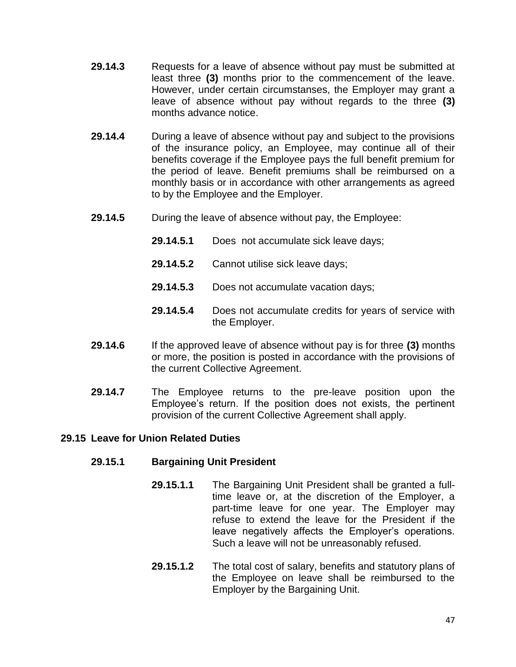- **29.14.3** Requests for a leave of absence without pay must be submitted at least three **(3)** months prior to the commencement of the leave. However, under certain circumstanses, the Employer may grant a leave of absence without pay without regards to the three **(3)** months advance notice.
- **29.14.4** During a leave of absence without pay and subject to the provisions of the insurance policy, an Employee, may continue all of their benefits coverage if the Employee pays the full benefit premium for the period of leave. Benefit premiums shall be reimbursed on a monthly basis or in accordance with other arrangements as agreed to by the Employee and the Employer.
- **29.14.5** During the leave of absence without pay, the Employee:
	- **29.14.5.1** Does not accumulate sick leave days;
	- **29.14.5.2** Cannot utilise sick leave days;
	- **29.14.5.3** Does not accumulate vacation days;
	- **29.14.5.4** Does not accumulate credits for years of service with the Employer.
- **29.14.6** If the approved leave of absence without pay is for three **(3)** months or more, the position is posted in accordance with the provisions of the current Collective Agreement.
- **29.14.7** The Employee returns to the pre-leave position upon the Employee's return. If the position does not exists, the pertinent provision of the current Collective Agreement shall apply.

## **29.15 Leave for Union Related Duties**

#### **29.15.1 Bargaining Unit President**

- **29.15.1.1** The Bargaining Unit President shall be granted a fulltime leave or, at the discretion of the Employer, a part-time leave for one year. The Employer may refuse to extend the leave for the President if the leave negatively affects the Employer's operations. Such a leave will not be unreasonably refused.
- **29.15.1.2** The total cost of salary, benefits and statutory plans of the Employee on leave shall be reimbursed to the Employer by the Bargaining Unit.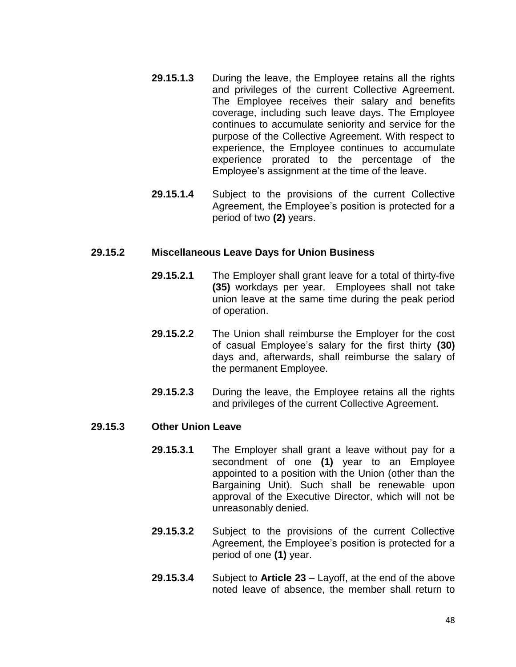- **29.15.1.3** During the leave, the Employee retains all the rights and privileges of the current Collective Agreement. The Employee receives their salary and benefits coverage, including such leave days. The Employee continues to accumulate seniority and service for the purpose of the Collective Agreement. With respect to experience, the Employee continues to accumulate experience prorated to the percentage of the Employee's assignment at the time of the leave.
- **29.15.1.4** Subject to the provisions of the current Collective Agreement, the Employee's position is protected for a period of two **(2)** years.

#### **29.15.2 Miscellaneous Leave Days for Union Business**

- **29.15.2.1** The Employer shall grant leave for a total of thirty-five **(35)** workdays per year. Employees shall not take union leave at the same time during the peak period of operation.
- **29.15.2.2** The Union shall reimburse the Employer for the cost of casual Employee's salary for the first thirty **(30)** days and, afterwards, shall reimburse the salary of the permanent Employee.
- **29.15.2.3** During the leave, the Employee retains all the rights and privileges of the current Collective Agreement.

#### **29.15.3 Other Union Leave**

- **29.15.3.1** The Employer shall grant a leave without pay for a secondment of one **(1)** year to an Employee appointed to a position with the Union (other than the Bargaining Unit). Such shall be renewable upon approval of the Executive Director, which will not be unreasonably denied.
- **29.15.3.2** Subject to the provisions of the current Collective Agreement, the Employee's position is protected for a period of one **(1)** year.
- **29.15.3.4** Subject to **Article 23** Layoff, at the end of the above noted leave of absence, the member shall return to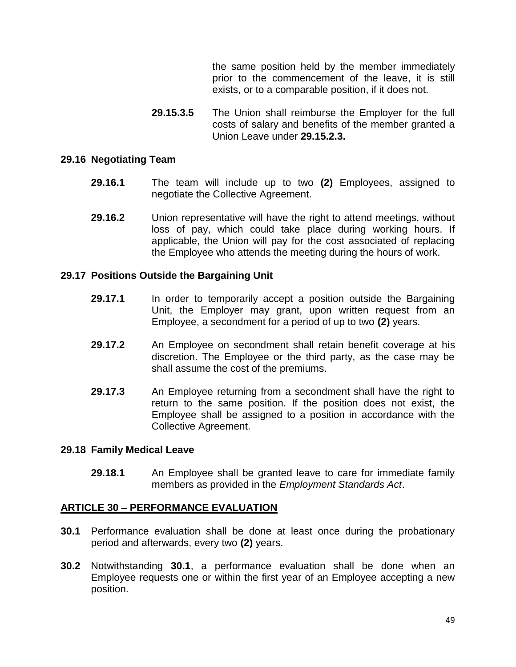the same position held by the member immediately prior to the commencement of the leave, it is still exists, or to a comparable position, if it does not.

**29.15.3.5** The Union shall reimburse the Employer for the full costs of salary and benefits of the member granted a Union Leave under **29.15.2.3.**

#### **29.16 Negotiating Team**

- **29.16.1** The team will include up to two **(2)** Employees, assigned to negotiate the Collective Agreement.
- **29.16.2** Union representative will have the right to attend meetings, without loss of pay, which could take place during working hours. If applicable, the Union will pay for the cost associated of replacing the Employee who attends the meeting during the hours of work.

#### **29.17 Positions Outside the Bargaining Unit**

- **29.17.1** In order to temporarily accept a position outside the Bargaining Unit, the Employer may grant, upon written request from an Employee, a secondment for a period of up to two **(2)** years.
- **29.17.2** An Employee on secondment shall retain benefit coverage at his discretion. The Employee or the third party, as the case may be shall assume the cost of the premiums.
- **29.17.3** An Employee returning from a secondment shall have the right to return to the same position. If the position does not exist, the Employee shall be assigned to a position in accordance with the Collective Agreement.

#### **29.18 Family Medical Leave**

**29.18.1** An Employee shall be granted leave to care for immediate family members as provided in the *Employment Standards Act*.

#### **ARTICLE 30 – PERFORMANCE EVALUATION**

- **30.1** Performance evaluation shall be done at least once during the probationary period and afterwards, every two **(2)** years.
- **30.2** Notwithstanding **30.1**, a performance evaluation shall be done when an Employee requests one or within the first year of an Employee accepting a new position.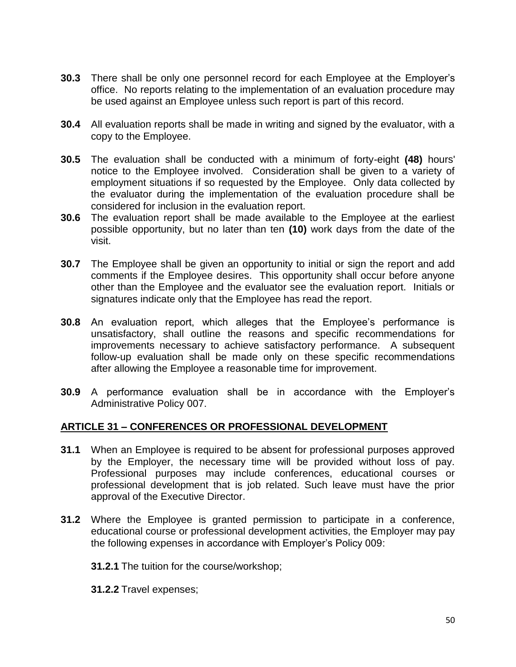- **30.3** There shall be only one personnel record for each Employee at the Employer's office. No reports relating to the implementation of an evaluation procedure may be used against an Employee unless such report is part of this record.
- **30.4** All evaluation reports shall be made in writing and signed by the evaluator, with a copy to the Employee.
- **30.5** The evaluation shall be conducted with a minimum of forty-eight **(48)** hours' notice to the Employee involved. Consideration shall be given to a variety of employment situations if so requested by the Employee. Only data collected by the evaluator during the implementation of the evaluation procedure shall be considered for inclusion in the evaluation report.
- **30.6** The evaluation report shall be made available to the Employee at the earliest possible opportunity, but no later than ten **(10)** work days from the date of the visit.
- **30.7** The Employee shall be given an opportunity to initial or sign the report and add comments if the Employee desires. This opportunity shall occur before anyone other than the Employee and the evaluator see the evaluation report. Initials or signatures indicate only that the Employee has read the report.
- **30.8** An evaluation report, which alleges that the Employee's performance is unsatisfactory, shall outline the reasons and specific recommendations for improvements necessary to achieve satisfactory performance. A subsequent follow-up evaluation shall be made only on these specific recommendations after allowing the Employee a reasonable time for improvement.
- **30.9** A performance evaluation shall be in accordance with the Employer's Administrative Policy 007.

# **ARTICLE 31 – CONFERENCES OR PROFESSIONAL DEVELOPMENT**

- **31.1** When an Employee is required to be absent for professional purposes approved by the Employer, the necessary time will be provided without loss of pay. Professional purposes may include conferences, educational courses or professional development that is job related. Such leave must have the prior approval of the Executive Director.
- **31.2** Where the Employee is granted permission to participate in a conference, educational course or professional development activities, the Employer may pay the following expenses in accordance with Employer's Policy 009:
	- **31.2.1** The tuition for the course/workshop;
	- **31.2.2** Travel expenses;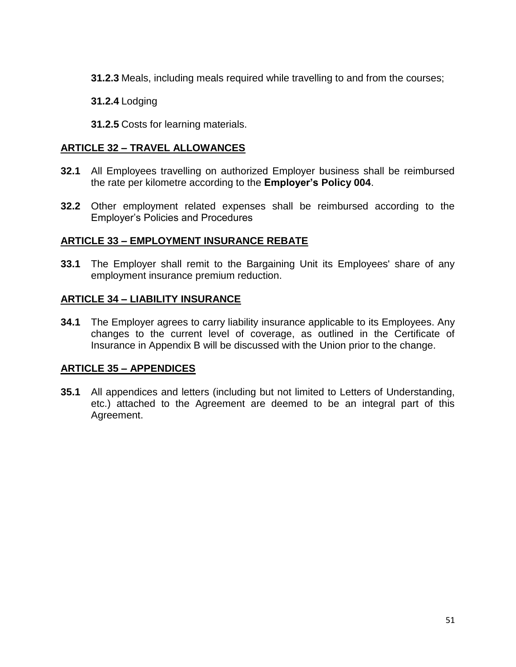**31.2.3** Meals, including meals required while travelling to and from the courses;

**31.2.4** Lodging

**31.2.5** Costs for learning materials.

# **ARTICLE 32 – TRAVEL ALLOWANCES**

- **32.1** All Employees travelling on authorized Employer business shall be reimbursed the rate per kilometre according to the **Employer's Policy 004**.
- **32.2** Other employment related expenses shall be reimbursed according to the Employer's Policies and Procedures

# **ARTICLE 33 – EMPLOYMENT INSURANCE REBATE**

**33.1** The Employer shall remit to the Bargaining Unit its Employees' share of any employment insurance premium reduction.

# **ARTICLE 34 – LIABILITY INSURANCE**

**34.1** The Employer agrees to carry liability insurance applicable to its Employees. Any changes to the current level of coverage, as outlined in the Certificate of Insurance in Appendix B will be discussed with the Union prior to the change.

# **ARTICLE 35 – APPENDICES**

**35.1** All appendices and letters (including but not limited to Letters of Understanding, etc.) attached to the Agreement are deemed to be an integral part of this Agreement.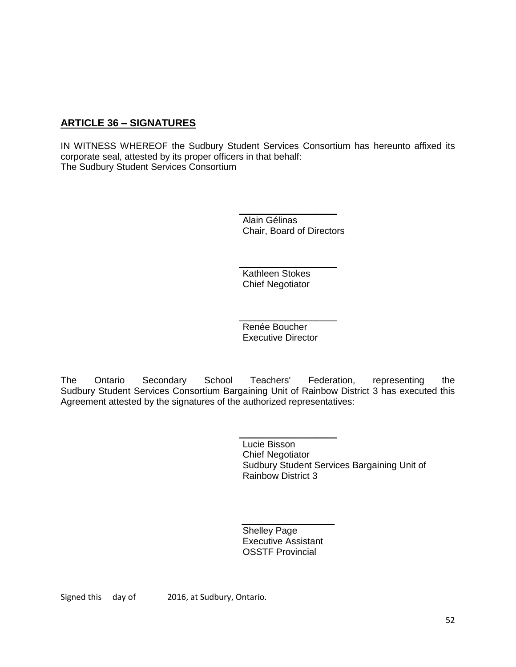# **ARTICLE 36 – SIGNATURES**

IN WITNESS WHEREOF the Sudbury Student Services Consortium has hereunto affixed its corporate seal, attested by its proper officers in that behalf: The Sudbury Student Services Consortium

> \_\_\_\_\_\_\_\_\_\_\_\_\_\_\_\_\_\_\_ Alain Gélinas Chair, Board of Directors

 $\_$ Kathleen Stokes Chief Negotiator

 $\overline{\phantom{a}}$  , where  $\overline{\phantom{a}}$ Renée Boucher Executive Director

The Ontario Secondary School Teachers' Federation, representing the Sudbury Student Services Consortium Bargaining Unit of Rainbow District 3 has executed this Agreement attested by the signatures of the authorized representatives:

> Lucie Bisson Chief Negotiator Sudbury Student Services Bargaining Unit of Rainbow District 3

 $\overline{\phantom{a}}$  , and the set of the set of the set of the set of the set of the set of the set of the set of the set of the set of the set of the set of the set of the set of the set of the set of the set of the set of the s Shelley Page Executive Assistant OSSTF Provincial

 $\overline{\phantom{a}}$  , where  $\overline{\phantom{a}}$ 

Signed this day of 2016, at Sudbury, Ontario.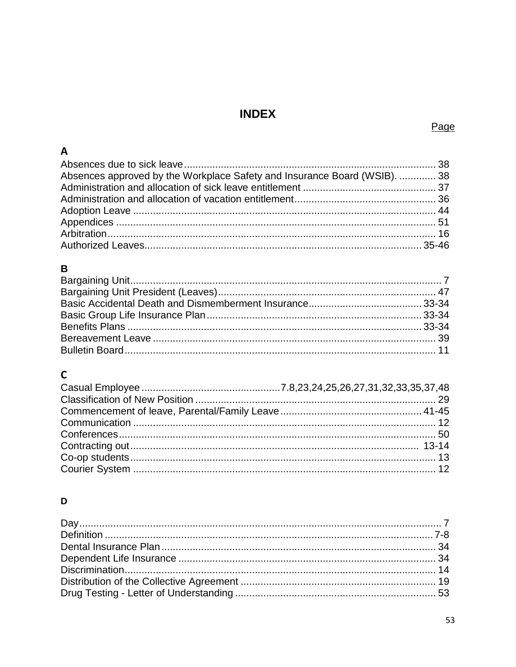# **INDEX**

# Page

| $\mathsf{A}$                                                              |  |
|---------------------------------------------------------------------------|--|
|                                                                           |  |
| Absences approved by the Workplace Safety and Insurance Board (WSIB).  38 |  |
|                                                                           |  |
|                                                                           |  |
|                                                                           |  |
|                                                                           |  |
|                                                                           |  |
|                                                                           |  |

# $\, {\bf B} \,$

# $\mathsf{C}$

# D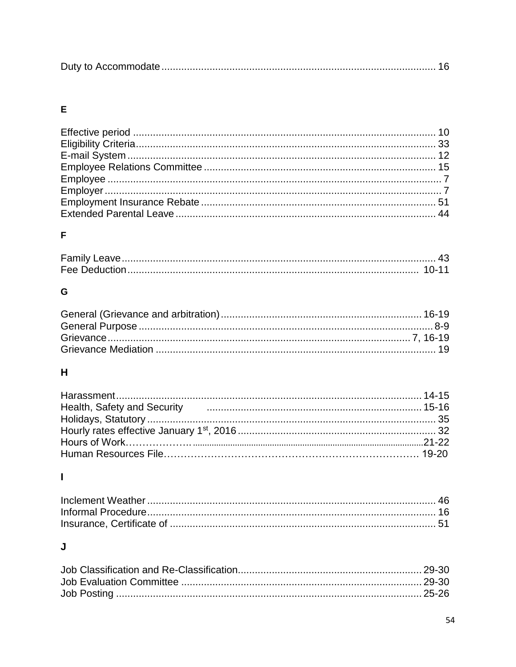|--|

# $\mathsf{E}$

# F

# G

# $\overline{\mathbf{H}}$

| Health, Safety and Security <b>Constructs</b> and the security of the construction and the security of the security of the security of the security of the security of the second security of the second security of the second sec |  |
|-------------------------------------------------------------------------------------------------------------------------------------------------------------------------------------------------------------------------------------|--|
|                                                                                                                                                                                                                                     |  |
|                                                                                                                                                                                                                                     |  |
|                                                                                                                                                                                                                                     |  |
|                                                                                                                                                                                                                                     |  |

# $\mathbf{I}$

# $\mathsf{J}$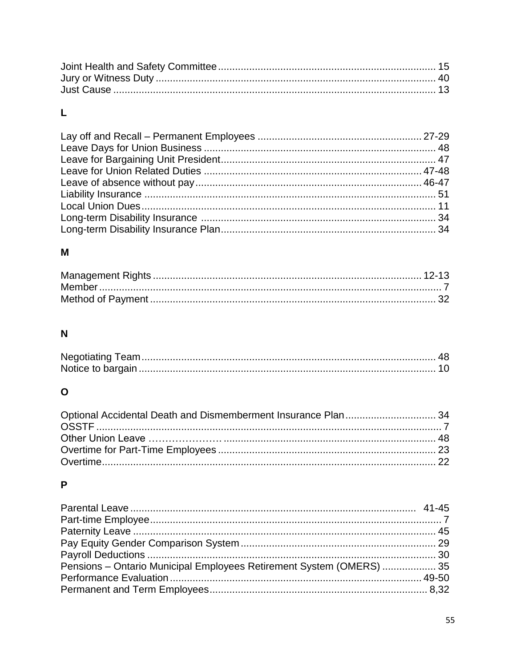# $\mathsf{L}% _{T}=\mathsf{L}_{T}\!\left( \mathcal{M}_{T}\right) ,$

# $\mathsf{M}$

# $\overline{\mathsf{N}}$

# $\mathbf{o}$

# $\mathsf{P}$

| Pensions - Ontario Municipal Employees Retirement System (OMERS)  35 |  |
|----------------------------------------------------------------------|--|
|                                                                      |  |
|                                                                      |  |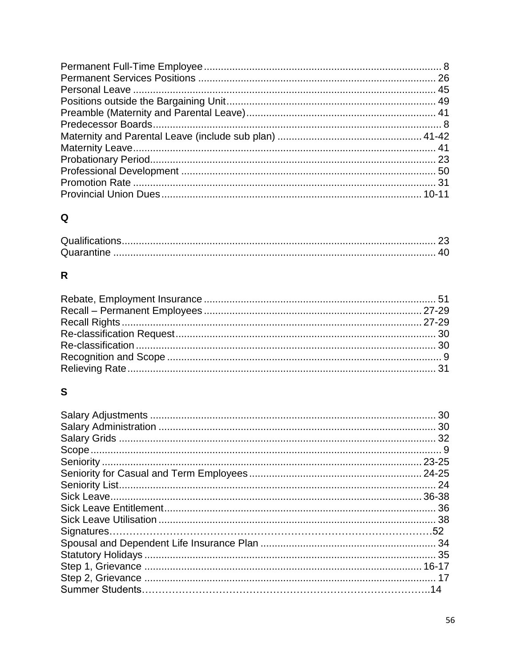# $\mathbf Q$

# $\overline{\mathsf{R}}$

# $\mathbf{s}$